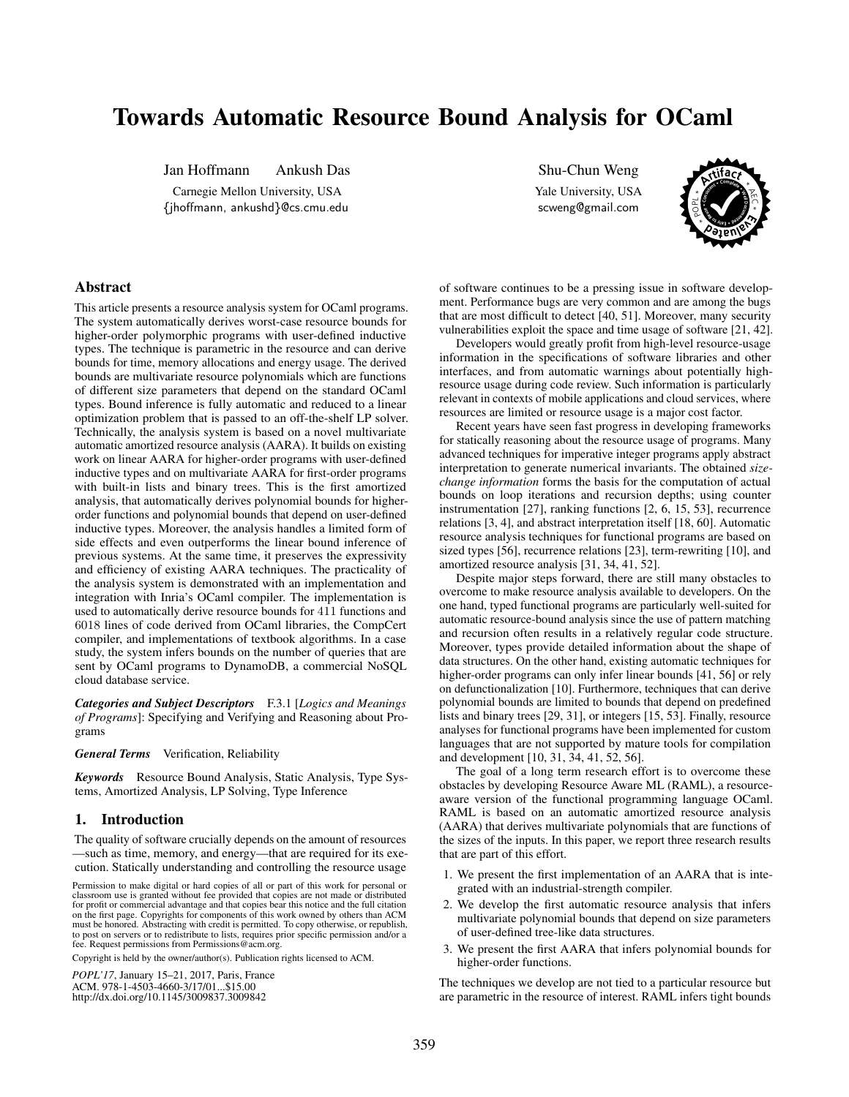# Towards Automatic Resource Bound Analysis for OCaml

Jan Hoffmann Ankush Das

Carnegie Mellon University, USA {jhoffmann, ankushd}@cs.cmu.edu Shu-Chun Weng

Yale University, USA scweng@gmail.com



## Abstract

This article presents a resource analysis system for OCaml programs. The system automatically derives worst-case resource bounds for higher-order polymorphic programs with user-defined inductive types. The technique is parametric in the resource and can derive bounds for time, memory allocations and energy usage. The derived bounds are multivariate resource polynomials which are functions of different size parameters that depend on the standard OCaml types. Bound inference is fully automatic and reduced to a linear optimization problem that is passed to an off-the-shelf LP solver. Technically, the analysis system is based on a novel multivariate automatic amortized resource analysis (AARA). It builds on existing work on linear AARA for higher-order programs with user-defined inductive types and on multivariate AARA for first-order programs with built-in lists and binary trees. This is the first amortized analysis, that automatically derives polynomial bounds for higherorder functions and polynomial bounds that depend on user-defined inductive types. Moreover, the analysis handles a limited form of side effects and even outperforms the linear bound inference of previous systems. At the same time, it preserves the expressivity and efficiency of existing AARA techniques. The practicality of the analysis system is demonstrated with an implementation and integration with Inria's OCaml compiler. The implementation is used to automatically derive resource bounds for 411 functions and 6018 lines of code derived from OCaml libraries, the CompCert compiler, and implementations of textbook algorithms. In a case study, the system infers bounds on the number of queries that are sent by OCaml programs to DynamoDB, a commercial NoSQL cloud database service.

*Categories and Subject Descriptors* F.3.1 [*Logics and Meanings of Programs*]: Specifying and Verifying and Reasoning about Programs

*General Terms* Verification, Reliability

*Keywords* Resource Bound Analysis, Static Analysis, Type Systems, Amortized Analysis, LP Solving, Type Inference

# 1. Introduction

The quality of software crucially depends on the amount of resources —such as time, memory, and energy—that are required for its execution. Statically understanding and controlling the resource usage

Permission to make digital or hard copies of all or part of this work for personal or classroom use is granted without fee provided that copies are not made or distributed for profit or commercial advantage and that copies bear this notice and the full citation on the first page. Copyrights for components of this work owned by others than ACM must be honored. Abstracting with credit is permitted. To copy otherwise, or republish, to post on servers or to redistribute to lists, requires prior specific permission and/or a fee. Request permissions from Permissions@acm.org.

Copyright is held by the owner/author(s). Publication rights licensed to ACM.

*POPL'17*, January 15–21, 2017, Paris, France ACM. 978-1-4503-4660-3/17/01...\$15.00 http://dx.doi.org/10.1145/3009837.3009842

of software continues to be a pressing issue in software development. Performance bugs are very common and are among the bugs that are most difficult to detect [40, 51]. Moreover, many security vulnerabilities exploit the space and time usage of software [21, 42].

Developers would greatly profit from high-level resource-usage information in the specifications of software libraries and other interfaces, and from automatic warnings about potentially highresource usage during code review. Such information is particularly relevant in contexts of mobile applications and cloud services, where resources are limited or resource usage is a major cost factor.

Recent years have seen fast progress in developing frameworks for statically reasoning about the resource usage of programs. Many advanced techniques for imperative integer programs apply abstract interpretation to generate numerical invariants. The obtained *sizechange information* forms the basis for the computation of actual bounds on loop iterations and recursion depths; using counter instrumentation [27], ranking functions [2, 6, 15, 53], recurrence relations [3, 4], and abstract interpretation itself [18, 60]. Automatic resource analysis techniques for functional programs are based on sized types [56], recurrence relations [23], term-rewriting [10], and amortized resource analysis [31, 34, 41, 52].

Despite major steps forward, there are still many obstacles to overcome to make resource analysis available to developers. On the one hand, typed functional programs are particularly well-suited for automatic resource-bound analysis since the use of pattern matching and recursion often results in a relatively regular code structure. Moreover, types provide detailed information about the shape of data structures. On the other hand, existing automatic techniques for higher-order programs can only infer linear bounds [41, 56] or rely on defunctionalization [10]. Furthermore, techniques that can derive polynomial bounds are limited to bounds that depend on predefined lists and binary trees [29, 31], or integers [15, 53]. Finally, resource analyses for functional programs have been implemented for custom languages that are not supported by mature tools for compilation and development [10, 31, 34, 41, 52, 56].

The goal of a long term research effort is to overcome these obstacles by developing Resource Aware ML (RAML), a resourceaware version of the functional programming language OCaml. RAML is based on an automatic amortized resource analysis (AARA) that derives multivariate polynomials that are functions of the sizes of the inputs. In this paper, we report three research results that are part of this effort.

- 1. We present the first implementation of an AARA that is integrated with an industrial-strength compiler.
- 2. We develop the first automatic resource analysis that infers multivariate polynomial bounds that depend on size parameters of user-defined tree-like data structures.
- 3. We present the first AARA that infers polynomial bounds for higher-order functions.

The techniques we develop are not tied to a particular resource but are parametric in the resource of interest. RAML infers tight bounds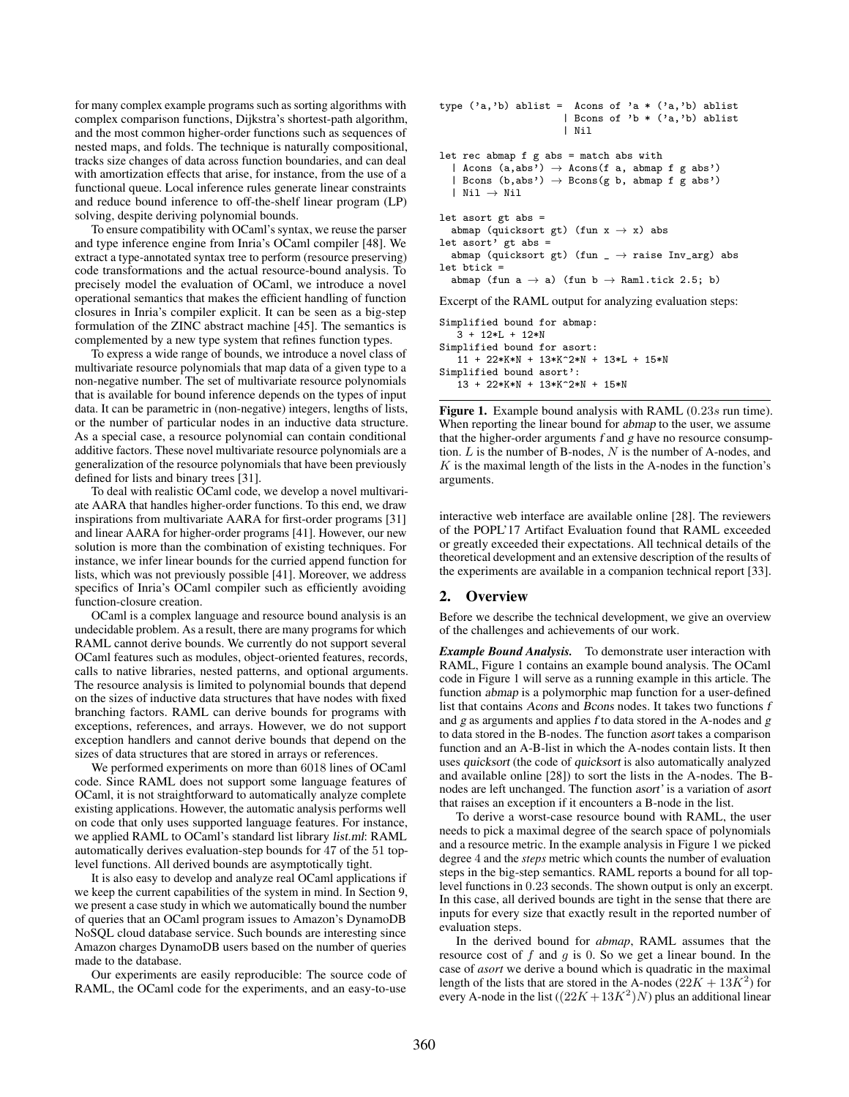for many complex example programs such as sorting algorithms with complex comparison functions, Dijkstra's shortest-path algorithm, and the most common higher-order functions such as sequences of nested maps, and folds. The technique is naturally compositional, tracks size changes of data across function boundaries, and can deal with amortization effects that arise, for instance, from the use of a functional queue. Local inference rules generate linear constraints and reduce bound inference to off-the-shelf linear program (LP) solving, despite deriving polynomial bounds.

To ensure compatibility with OCaml's syntax, we reuse the parser and type inference engine from Inria's OCaml compiler [48]. We extract a type-annotated syntax tree to perform (resource preserving) code transformations and the actual resource-bound analysis. To precisely model the evaluation of OCaml, we introduce a novel operational semantics that makes the efficient handling of function closures in Inria's compiler explicit. It can be seen as a big-step formulation of the ZINC abstract machine [45]. The semantics is complemented by a new type system that refines function types.

To express a wide range of bounds, we introduce a novel class of multivariate resource polynomials that map data of a given type to a non-negative number. The set of multivariate resource polynomials that is available for bound inference depends on the types of input data. It can be parametric in (non-negative) integers, lengths of lists, or the number of particular nodes in an inductive data structure. As a special case, a resource polynomial can contain conditional additive factors. These novel multivariate resource polynomials are a generalization of the resource polynomials that have been previously defined for lists and binary trees [31].

To deal with realistic OCaml code, we develop a novel multivariate AARA that handles higher-order functions. To this end, we draw inspirations from multivariate AARA for first-order programs [31] and linear AARA for higher-order programs [41]. However, our new solution is more than the combination of existing techniques. For instance, we infer linear bounds for the curried append function for lists, which was not previously possible [41]. Moreover, we address specifics of Inria's OCaml compiler such as efficiently avoiding function-closure creation.

OCaml is a complex language and resource bound analysis is an undecidable problem. As a result, there are many programs for which RAML cannot derive bounds. We currently do not support several OCaml features such as modules, object-oriented features, records, calls to native libraries, nested patterns, and optional arguments. The resource analysis is limited to polynomial bounds that depend on the sizes of inductive data structures that have nodes with fixed branching factors. RAML can derive bounds for programs with exceptions, references, and arrays. However, we do not support exception handlers and cannot derive bounds that depend on the sizes of data structures that are stored in arrays or references.

We performed experiments on more than 6018 lines of OCaml code. Since RAML does not support some language features of OCaml, it is not straightforward to automatically analyze complete existing applications. However, the automatic analysis performs well on code that only uses supported language features. For instance, we applied RAML to OCaml's standard list library list.ml: RAML automatically derives evaluation-step bounds for 47 of the 51 toplevel functions. All derived bounds are asymptotically tight.

It is also easy to develop and analyze real OCaml applications if we keep the current capabilities of the system in mind. In Section 9, we present a case study in which we automatically bound the number of queries that an OCaml program issues to Amazon's DynamoDB NoSQL cloud database service. Such bounds are interesting since Amazon charges DynamoDB users based on the number of queries made to the database.

Our experiments are easily reproducible: The source code of RAML, the OCaml code for the experiments, and an easy-to-use

```
type ('a,'b) ablist = Acons of 'a * ('a,'b) ablist
                         | Bcons of 'b * ('a,'b) ablist
                         | Nil
let rec abmap f g abs = match abs with
    Acons (a,abs') \rightarrow Acons(f a, abmap f g abs')
  | Bcons (b,abs') \rightarrow Bcons(g b, abmap f g abs')
  | Nil \rightarrow Nil
let asort gt abs =
  abmap (quicksort gt) (fun x \rightarrow x) abs
let asort' gt abs =
  abmap (quicksort gt) (fun \overline{\phantom{a}} \rightarrow raise Inv_arg) abs
let btick =
  abmap (fun a \rightarrow a) (fun b \rightarrow Raml.tick 2.5; b)
Excerpt of the RAML output for analyzing evaluation steps:
Simplified bound for abmap:
```

```
3 + 12*L + 12*N
Simplified bound for asort:
   11 + 22*K*N + 13*K^2*N + 13*L + 15*N
Simplified bound asort':
  13 + 22*K*N + 13*K^2*N + 15*N
```
Figure 1. Example bound analysis with RAML (0.23s run time). When reporting the linear bound for abmap to the user, we assume that the higher-order arguments  $f$  and  $g$  have no resource consumption.  $L$  is the number of B-nodes,  $N$  is the number of A-nodes, and  $K$  is the maximal length of the lists in the A-nodes in the function's arguments.

interactive web interface are available online [28]. The reviewers of the POPL'17 Artifact Evaluation found that RAML exceeded or greatly exceeded their expectations. All technical details of the theoretical development and an extensive description of the results of the experiments are available in a companion technical report [33].

### 2. Overview

Before we describe the technical development, we give an overview of the challenges and achievements of our work.

*Example Bound Analysis.* To demonstrate user interaction with RAML, Figure 1 contains an example bound analysis. The OCaml code in Figure 1 will serve as a running example in this article. The function abmap is a polymorphic map function for a user-defined list that contains Acons and Bcons nodes. It takes two functions f and g as arguments and applies f to data stored in the A-nodes and g to data stored in the B-nodes. The function asort takes a comparison function and an A-B-list in which the A-nodes contain lists. It then uses quicksort (the code of quicksort is also automatically analyzed and available online [28]) to sort the lists in the A-nodes. The Bnodes are left unchanged. The function asort' is a variation of asort that raises an exception if it encounters a B-node in the list.

To derive a worst-case resource bound with RAML, the user needs to pick a maximal degree of the search space of polynomials and a resource metric. In the example analysis in Figure 1 we picked degree 4 and the *steps* metric which counts the number of evaluation steps in the big-step semantics. RAML reports a bound for all toplevel functions in 0.23 seconds. The shown output is only an excerpt. In this case, all derived bounds are tight in the sense that there are inputs for every size that exactly result in the reported number of evaluation steps.

In the derived bound for *abmap*, RAML assumes that the resource cost of f and  $q$  is 0. So we get a linear bound. In the case of *asort* we derive a bound which is quadratic in the maximal length of the lists that are stored in the A-nodes  $(22K + 13K^2)$  for every A-node in the list  $((22K+13K^2)N)$  plus an additional linear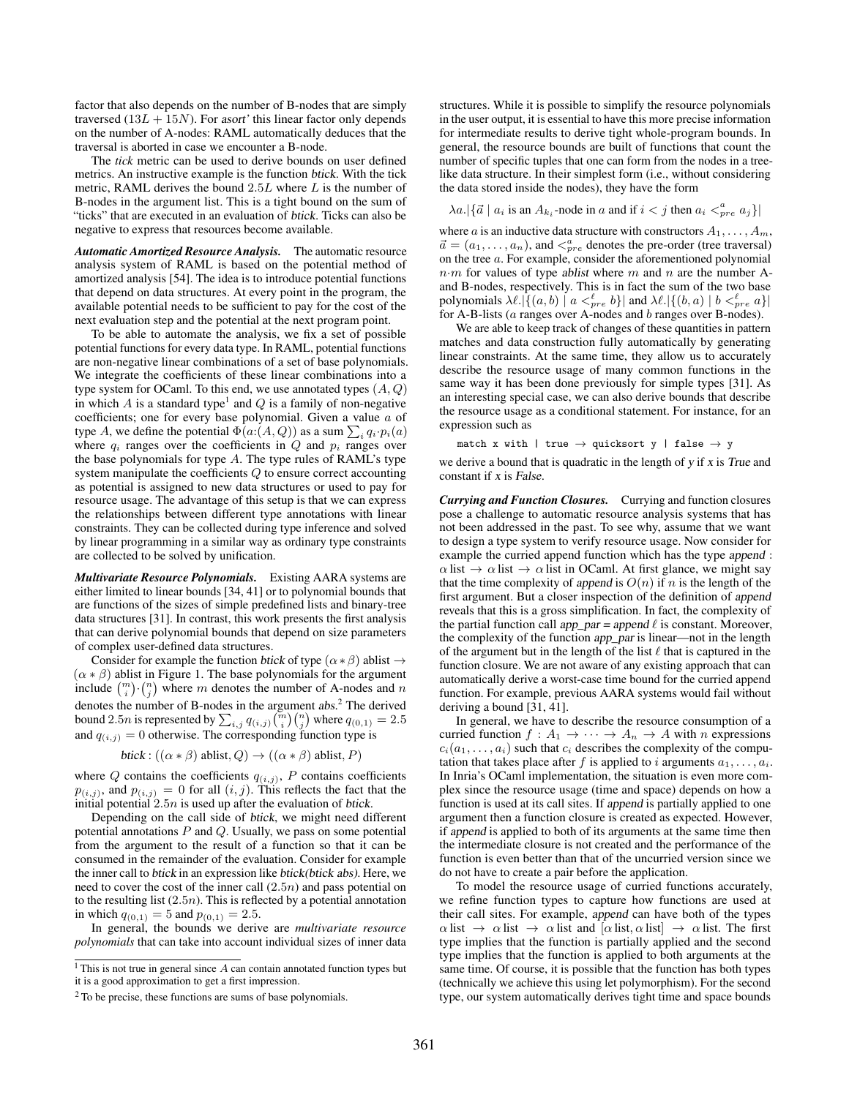factor that also depends on the number of B-nodes that are simply traversed  $(13L + 15N)$ . For asort' this linear factor only depends on the number of A-nodes: RAML automatically deduces that the traversal is aborted in case we encounter a B-node.

The *tick* metric can be used to derive bounds on user defined metrics. An instructive example is the function btick. With the tick metric, RAML derives the bound  $2.5L$  where  $L$  is the number of B-nodes in the argument list. This is a tight bound on the sum of "ticks" that are executed in an evaluation of btick. Ticks can also be negative to express that resources become available.

*Automatic Amortized Resource Analysis.* The automatic resource analysis system of RAML is based on the potential method of amortized analysis [54]. The idea is to introduce potential functions that depend on data structures. At every point in the program, the available potential needs to be sufficient to pay for the cost of the next evaluation step and the potential at the next program point.

To be able to automate the analysis, we fix a set of possible potential functions for every data type. In RAML, potential functions are non-negative linear combinations of a set of base polynomials. We integrate the coefficients of these linear combinations into a type system for OCaml. To this end, we use annotated types  $(A, Q)$ in which A is a standard type<sup>1</sup> and Q is a family of non-negative coefficients; one for every base polynomial. Given a value a of type A, we define the potential  $\Phi(a:(A,Q))$  as a sum  $\sum_i q_i \cdot p_i(a)$ where  $q_i$  ranges over the coefficients in  $Q$  and  $p_i$  ranges over the base polynomials for type A. The type rules of RAML's type system manipulate the coefficients  $Q$  to ensure correct accounting as potential is assigned to new data structures or used to pay for resource usage. The advantage of this setup is that we can express the relationships between different type annotations with linear constraints. They can be collected during type inference and solved by linear programming in a similar way as ordinary type constraints are collected to be solved by unification.

*Multivariate Resource Polynomials.* Existing AARA systems are either limited to linear bounds [34, 41] or to polynomial bounds that are functions of the sizes of simple predefined lists and binary-tree data structures [31]. In contrast, this work presents the first analysis that can derive polynomial bounds that depend on size parameters of complex user-defined data structures.

Consider for example the function btick of type  $(\alpha * \beta)$  ablist  $\rightarrow$  $(\alpha * \beta)$  ablist in Figure 1. The base polynomials for the argument include  $\binom{m}{i} \cdot \binom{n}{j}$  where m denotes the number of A-nodes and n denotes the number of B-nodes in the argument abs. <sup>2</sup> The derived bound  $2.5n$  is represented by  $\sum_{i,j} q_{(i,j)} \binom{\overline{m}}{i} \binom{n}{j}$  where  $q_{(0,1)}=2.5$ and  $q(i,j) = 0$  otherwise. The corresponding function type is

$$
bitck: ((\alpha * \beta) \text{ ablist}, Q) \rightarrow ((\alpha * \beta) \text{ ablist}, P)
$$

where  $Q$  contains the coefficients  $q_{(i,j)}$ ,  $P$  contains coefficients  $p_{(i,j)}$ , and  $p_{(i,j)} = 0$  for all  $(i, j)$ . This reflects the fact that the initial potential  $2.5n$  is used up after the evaluation of btick.

Depending on the call side of btick, we might need different potential annotations  $P$  and  $Q$ . Usually, we pass on some potential from the argument to the result of a function so that it can be consumed in the remainder of the evaluation. Consider for example the inner call to btick in an expression like btick(btick abs). Here, we need to cover the cost of the inner call  $(2.5n)$  and pass potential on to the resulting list  $(2.5n)$ . This is reflected by a potential annotation in which  $q_{(0,1)} = 5$  and  $p_{(0,1)} = 2.5$ .

In general, the bounds we derive are *multivariate resource polynomials* that can take into account individual sizes of inner data

structures. While it is possible to simplify the resource polynomials in the user output, it is essential to have this more precise information for intermediate results to derive tight whole-program bounds. In general, the resource bounds are built of functions that count the number of specific tuples that one can form from the nodes in a treelike data structure. In their simplest form (i.e., without considering the data stored inside the nodes), they have the form

$$
\lambda a. |\{\vec{a} \mid a_i \text{ is an } A_{k_i} \text{-node in } a \text{ and if } i < j \text{ then } a_i <_{pre}^a a_j \}|
$$

where a is an inductive data structure with constructors  $A_1, \ldots, A_m$ ,  $\vec{a} = (a_1, \dots, a_n)$ , and  $\langle \xi_{pre}^a \rangle$  denotes the pre-order (tree traversal) on the tree a. For example, consider the aforementioned polynomial  $n \cdot m$  for values of type ablist where m and n are the number Aand B-nodes, respectively. This is in fact the sum of the two base polynomials  $\lambda \ell.$   $|\{(a, b) | a \leq_{pre}^{\ell} b\}|$  and  $\lambda \ell.$   $|\{(b, a) | b \leq_{pre}^{\ell} a\}|$ for A-B-lists (a ranges over A-nodes and b ranges over B-nodes).

We are able to keep track of changes of these quantities in pattern matches and data construction fully automatically by generating linear constraints. At the same time, they allow us to accurately describe the resource usage of many common functions in the same way it has been done previously for simple types [31]. As an interesting special case, we can also derive bounds that describe the resource usage as a conditional statement. For instance, for an expression such as

match x with | true  $\rightarrow$  quicksort y | false  $\rightarrow$  y

we derive a bound that is quadratic in the length of y if x is True and constant if x is False.

*Currying and Function Closures.* Currying and function closures pose a challenge to automatic resource analysis systems that has not been addressed in the past. To see why, assume that we want to design a type system to verify resource usage. Now consider for example the curried append function which has the type append :  $\alpha$  list  $\rightarrow \alpha$  list  $\rightarrow \alpha$  list in OCaml. At first glance, we might say that the time complexity of append is  $O(n)$  if n is the length of the first argument. But a closer inspection of the definition of append reveals that this is a gross simplification. In fact, the complexity of the partial function call app\_par = append  $\ell$  is constant. Moreover, the complexity of the function app\_par is linear—not in the length of the argument but in the length of the list  $\ell$  that is captured in the function closure. We are not aware of any existing approach that can automatically derive a worst-case time bound for the curried append function. For example, previous AARA systems would fail without deriving a bound [31, 41].

In general, we have to describe the resource consumption of a curried function  $f : A_1 \to \cdots \to A_n \to A$  with *n* expressions  $c_i(a_1, \ldots, a_i)$  such that  $c_i$  describes the complexity of the computation that takes place after f is applied to i arguments  $a_1, \ldots, a_i$ . In Inria's OCaml implementation, the situation is even more complex since the resource usage (time and space) depends on how a function is used at its call sites. If append is partially applied to one argument then a function closure is created as expected. However, if append is applied to both of its arguments at the same time then the intermediate closure is not created and the performance of the function is even better than that of the uncurried version since we do not have to create a pair before the application.

To model the resource usage of curried functions accurately, we refine function types to capture how functions are used at their call sites. For example, append can have both of the types  $\alpha$  list  $\rightarrow \alpha$  list  $\rightarrow \alpha$  list and  $[\alpha$  list,  $\alpha$  list]  $\rightarrow \alpha$  list. The first type implies that the function is partially applied and the second type implies that the function is applied to both arguments at the same time. Of course, it is possible that the function has both types (technically we achieve this using let polymorphism). For the second type, our system automatically derives tight time and space bounds

 $1$  This is not true in general since  $A$  can contain annotated function types but it is a good approximation to get a first impression.

 $2$ To be precise, these functions are sums of base polynomials.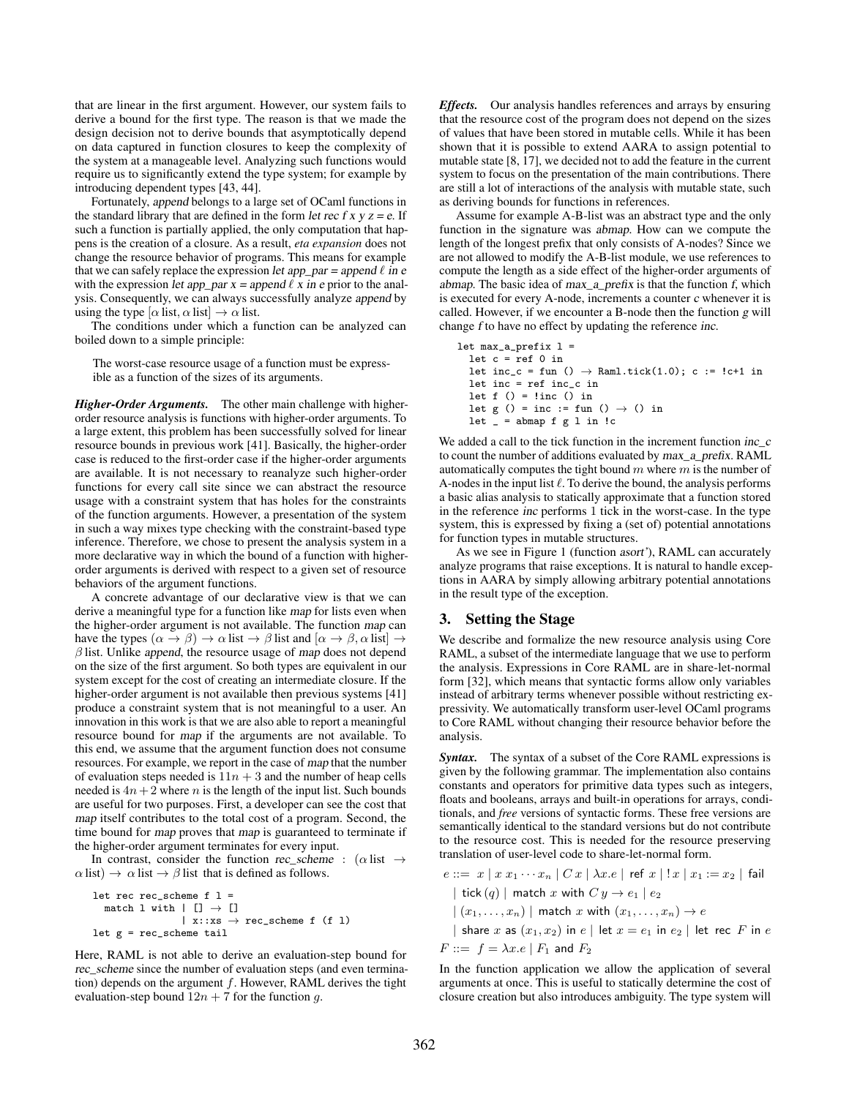that are linear in the first argument. However, our system fails to derive a bound for the first type. The reason is that we made the design decision not to derive bounds that asymptotically depend on data captured in function closures to keep the complexity of the system at a manageable level. Analyzing such functions would require us to significantly extend the type system; for example by introducing dependent types [43, 44].

Fortunately, append belongs to a large set of OCaml functions in the standard library that are defined in the form let rec  $f \times y = e$ . If such a function is partially applied, the only computation that happens is the creation of a closure. As a result, *eta expansion* does not change the resource behavior of programs. This means for example that we can safely replace the expression let app\_par = append  $\ell$  in e with the expression let app\_par x = append  $\ell$  x in e prior to the analysis. Consequently, we can always successfully analyze append by using the type  $[\alpha \text{ list}, \alpha \text{ list}] \rightarrow \alpha \text{ list}.$ 

The conditions under which a function can be analyzed can boiled down to a simple principle:

The worst-case resource usage of a function must be expressible as a function of the sizes of its arguments.

*Higher-Order Arguments.* The other main challenge with higherorder resource analysis is functions with higher-order arguments. To a large extent, this problem has been successfully solved for linear resource bounds in previous work [41]. Basically, the higher-order case is reduced to the first-order case if the higher-order arguments are available. It is not necessary to reanalyze such higher-order functions for every call site since we can abstract the resource usage with a constraint system that has holes for the constraints of the function arguments. However, a presentation of the system in such a way mixes type checking with the constraint-based type inference. Therefore, we chose to present the analysis system in a more declarative way in which the bound of a function with higherorder arguments is derived with respect to a given set of resource behaviors of the argument functions.

A concrete advantage of our declarative view is that we can derive a meaningful type for a function like map for lists even when the higher-order argument is not available. The function map can have the types  $(\alpha \to \beta) \to \alpha$  list  $\to \beta$  list and  $[\alpha \to \beta, \alpha]$  list]  $\to$  $\beta$  list. Unlike *append*, the resource usage of map does not depend on the size of the first argument. So both types are equivalent in our system except for the cost of creating an intermediate closure. If the higher-order argument is not available then previous systems [41] produce a constraint system that is not meaningful to a user. An innovation in this work is that we are also able to report a meaningful resource bound for map if the arguments are not available. To this end, we assume that the argument function does not consume resources. For example, we report in the case of map that the number of evaluation steps needed is  $11n + 3$  and the number of heap cells needed is  $4n + 2$  where *n* is the length of the input list. Such bounds are useful for two purposes. First, a developer can see the cost that map itself contributes to the total cost of a program. Second, the time bound for map proves that map is guaranteed to terminate if the higher-order argument terminates for every input.

In contrast, consider the function rec scheme : ( $\alpha$  list  $\rightarrow$  $\alpha$  list)  $\rightarrow \alpha$  list  $\rightarrow \beta$  list that is defined as follows.

```
let rec rec_scheme f l =
  match 1 with | | \rightarrow |\vert x::xs \rightarrow rec_scheme f (f 1)
let g = rec_scheme tail
```
Here, RAML is not able to derive an evaluation-step bound for rec\_scheme since the number of evaluation steps (and even termination) depends on the argument  $f$ . However, RAML derives the tight evaluation-step bound  $12n + 7$  for the function g.

*Effects.* Our analysis handles references and arrays by ensuring that the resource cost of the program does not depend on the sizes of values that have been stored in mutable cells. While it has been shown that it is possible to extend AARA to assign potential to mutable state [8, 17], we decided not to add the feature in the current system to focus on the presentation of the main contributions. There are still a lot of interactions of the analysis with mutable state, such as deriving bounds for functions in references.

Assume for example A-B-list was an abstract type and the only function in the signature was abmap. How can we compute the length of the longest prefix that only consists of A-nodes? Since we are not allowed to modify the A-B-list module, we use references to compute the length as a side effect of the higher-order arguments of abmap. The basic idea of max\_a\_prefix is that the function f, which is executed for every A-node, increments a counter c whenever it is called. However, if we encounter a B-node then the function g will change f to have no effect by updating the reference inc.

```
let max_a_prefix_1 =let c = ref 0 inlet inc_c = fun () \rightarrow Raml.tick(1.0); c := !c+1 in
 let inc = ref inc_c in
  let f() = 'inc() inlet g () = inc := fun () \rightarrow () in
 let = abmap f g l in lc
```
We added a call to the tick function in the increment function inc\_c to count the number of additions evaluated by max\_a\_prefix. RAML automatically computes the tight bound  $m$  where  $m$  is the number of A-nodes in the input list  $\ell$ . To derive the bound, the analysis performs a basic alias analysis to statically approximate that a function stored in the reference inc performs 1 tick in the worst-case. In the type system, this is expressed by fixing a (set of) potential annotations for function types in mutable structures.

As we see in Figure 1 (function asort'), RAML can accurately analyze programs that raise exceptions. It is natural to handle exceptions in AARA by simply allowing arbitrary potential annotations in the result type of the exception.

#### 3. Setting the Stage

We describe and formalize the new resource analysis using Core RAML, a subset of the intermediate language that we use to perform the analysis. Expressions in Core RAML are in share-let-normal form [32], which means that syntactic forms allow only variables instead of arbitrary terms whenever possible without restricting expressivity. We automatically transform user-level OCaml programs to Core RAML without changing their resource behavior before the analysis.

*Syntax.* The syntax of a subset of the Core RAML expressions is given by the following grammar. The implementation also contains constants and operators for primitive data types such as integers, floats and booleans, arrays and built-in operations for arrays, conditionals, and *free* versions of syntactic forms. These free versions are semantically identical to the standard versions but do not contribute to the resource cost. This is needed for the resource preserving translation of user-level code to share-let-normal form.

$$
e ::= x \mid x \ x_1 \cdots x_n \mid C \ x \mid \lambda x. e \mid \text{ref } x \mid !x \mid x_1 := x_2 \mid \text{fail}
$$
\n
$$
| \text{ tick}(q) \mid \text{match } x \text{ with } C \ y \to e_1 \mid e_2
$$
\n
$$
| \ (x_1, \ldots, x_n) \mid \text{match } x \text{ with } (x_1, \ldots, x_n) \to e
$$
\n
$$
| \text{ share } x \text{ as } (x_1, x_2) \text{ in } e \mid \text{let } x = e_1 \text{ in } e_2 \mid \text{let } \text{rec } F \text{ in } e
$$
\n
$$
F ::= f = \lambda x. e \mid F_1 \text{ and } F_2
$$

In the function application we allow the application of several arguments at once. This is useful to statically determine the cost of closure creation but also introduces ambiguity. The type system will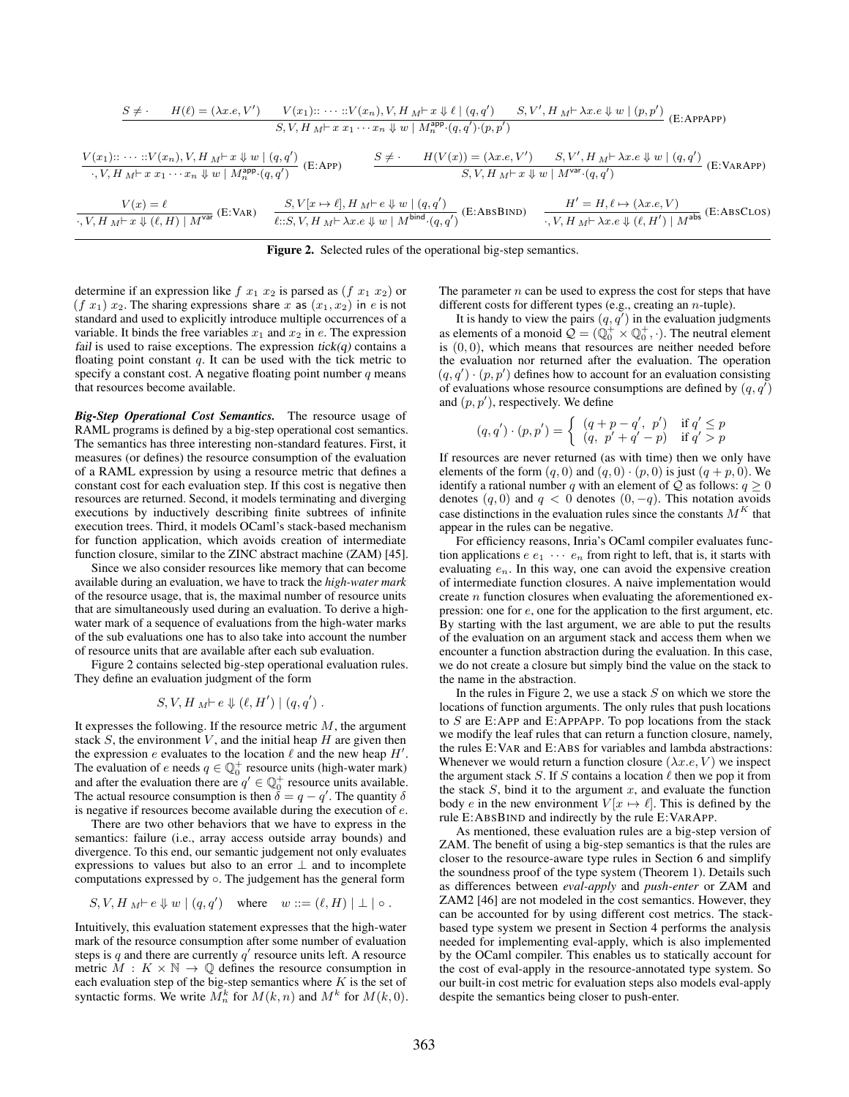$$
\frac{S \neq \cdot \quad H(\ell) = (\lambda x.e, V') \quad V(x_1): \cdots : V(x_n), V, H_M \vdash x \Downarrow \ell \mid (q, q') \quad S, V', H_M \vdash \lambda x.e \Downarrow w \mid (p, p')}{S, V, H_M \vdash x x_1 \cdots x_n \Downarrow w \mid M_n^{\text{app.}}(q, q') \cdot (p, p')} \quad (E:APPAPP)
$$
\n
$$
\frac{V(x_1): \cdots : V(x_n), V, H_M \vdash x \Downarrow w \mid (q, q')}{\cdot, V, H_M \vdash x x_1 \cdots x_n \Downarrow w \mid M_n^{\text{app.}}(q, q')} \quad (E:APP)
$$
\n
$$
\frac{S \neq \cdot \quad H(V(x)) = (\lambda x.e, V') \quad S, V', H_M \vdash \lambda x.e \Downarrow w \mid (q, q')}{S, V, H_M \vdash x \Downarrow w \mid M^{\text{var.}}(q, q')} \quad (E: VARP)
$$
\n
$$
\frac{V(x) = \ell}{\cdot, V, H_M \vdash x \Downarrow (\ell, H) \mid M^{\text{var.}}} \quad \frac{S, V[x \mapsto \ell], H_M \vdash e \Downarrow w \mid (q, q')}{\ell::S, V, H_M \vdash \lambda x.e \Downarrow w \mid M^{\text{bind.}}(q, q')} \quad (E: ABSBIND) \quad \frac{H' = H, \ell \mapsto (\lambda x.e, V)}{\cdot, V, H_M \vdash \lambda x.e \Downarrow (\ell, H') \mid M^{\text{abs}}} \quad (E: ABSCLOS)
$$

Figure 2. Selected rules of the operational big-step semantics.

determine if an expression like  $f(x_1, x_2)$  is parsed as  $(f(x_1, x_2))$  or  $(f x_1) x_2$ . The sharing expressions share x as  $(x_1, x_2)$  in e is not standard and used to explicitly introduce multiple occurrences of a variable. It binds the free variables  $x_1$  and  $x_2$  in e. The expression fail is used to raise exceptions. The expression  $tick(q)$  contains a floating point constant  $q$ . It can be used with the tick metric to specify a constant cost. A negative floating point number  $q$  means that resources become available.

*Big-Step Operational Cost Semantics.* The resource usage of RAML programs is defined by a big-step operational cost semantics. The semantics has three interesting non-standard features. First, it measures (or defines) the resource consumption of the evaluation of a RAML expression by using a resource metric that defines a constant cost for each evaluation step. If this cost is negative then resources are returned. Second, it models terminating and diverging executions by inductively describing finite subtrees of infinite execution trees. Third, it models OCaml's stack-based mechanism for function application, which avoids creation of intermediate function closure, similar to the ZINC abstract machine (ZAM) [45].

Since we also consider resources like memory that can become available during an evaluation, we have to track the *high-water mark* of the resource usage, that is, the maximal number of resource units that are simultaneously used during an evaluation. To derive a highwater mark of a sequence of evaluations from the high-water marks of the sub evaluations one has to also take into account the number of resource units that are available after each sub evaluation.

Figure 2 contains selected big-step operational evaluation rules. They define an evaluation judgment of the form

$$
S, V, H M \vdash e \Downarrow (\ell, H') \mid (q, q') .
$$

It expresses the following. If the resource metric  $M$ , the argument stack  $S$ , the environment  $V$ , and the initial heap  $H$  are given then the expression e evaluates to the location  $\ell$  and the new heap  $H'$ . The evaluation of e needs  $q \in \mathbb{Q}_0^+$  resource units (high-water mark) and after the evaluation there are  $q' \in \mathbb{Q}_0^+$  resource units available. The actual resource consumption is then  $\delta = q - q'$ . The quantity  $\delta$ is negative if resources become available during the execution of e.

There are two other behaviors that we have to express in the semantics: failure (i.e., array access outside array bounds) and divergence. To this end, our semantic judgement not only evaluates expressions to values but also to an error  $\perp$  and to incomplete computations expressed by ◦. The judgement has the general form

$$
S, V, H_M \vdash e \Downarrow w \mid (q, q') \quad \text{where} \quad w ::= (\ell, H) \mid \bot \mid \circ .
$$

Intuitively, this evaluation statement expresses that the high-water mark of the resource consumption after some number of evaluation steps is q and there are currently  $q'$  resource units left. A resource metric  $M : K \times \mathbb{N} \to \mathbb{Q}$  defines the resource consumption in each evaluation step of the big-step semantics where  $K$  is the set of syntactic forms. We write  $M_n^k$  for  $M(k, n)$  and  $M^k$  for  $M(k, 0)$ . The parameter  $n$  can be used to express the cost for steps that have different costs for different types (e.g., creating an n-tuple).

It is handy to view the pairs  $(q, \bar{q}')$  in the evaluation judgments as elements of a monoid  $\mathcal{Q} = (\mathbb{Q}_0^+ \times \mathbb{Q}_0^+, \cdot)$ . The neutral element is  $(0, 0)$ , which means that resources are neither needed before the evaluation nor returned after the evaluation. The operation  $(q, q') \cdot (p, p')$  defines how to account for an evaluation consisting of evaluations whose resource consumptions are defined by  $(q, q')$ and  $(p, p')$ , respectively. We define

$$
(q, q') \cdot (p, p') = \begin{cases} (q + p - q', p') & \text{if } q' \le p \\ (q, p' + q' - p) & \text{if } q' > p \end{cases}
$$

If resources are never returned (as with time) then we only have elements of the form  $(q, 0)$  and  $(q, 0) \cdot (p, 0)$  is just  $(q + p, 0)$ . We identify a rational number q with an element of  $Q$  as follows:  $q \ge 0$ denotes  $(q, 0)$  and  $q < 0$  denotes  $(0, -q)$ . This notation avoids case distinctions in the evaluation rules since the constants  $M^K$  that appear in the rules can be negative.

For efficiency reasons, Inria's OCaml compiler evaluates function applications  $e e_1 \cdots e_n$  from right to left, that is, it starts with evaluating  $e_n$ . In this way, one can avoid the expensive creation of intermediate function closures. A naive implementation would create n function closures when evaluating the aforementioned expression: one for e, one for the application to the first argument, etc. By starting with the last argument, we are able to put the results of the evaluation on an argument stack and access them when we encounter a function abstraction during the evaluation. In this case, we do not create a closure but simply bind the value on the stack to the name in the abstraction.

In the rules in Figure 2, we use a stack  $S$  on which we store the locations of function arguments. The only rules that push locations to S are E:APP and E:APPAPP. To pop locations from the stack we modify the leaf rules that can return a function closure, namely, the rules E:VAR and E:ABS for variables and lambda abstractions: Whenever we would return a function closure  $(\lambda x.e, V)$  we inspect the argument stack  $S$ . If  $S$  contains a location  $\ell$  then we pop it from the stack  $S$ , bind it to the argument  $x$ , and evaluate the function body e in the new environment  $V[x \mapsto \ell]$ . This is defined by the rule E:ABSBIND and indirectly by the rule E:VARAPP.

As mentioned, these evaluation rules are a big-step version of ZAM. The benefit of using a big-step semantics is that the rules are closer to the resource-aware type rules in Section 6 and simplify the soundness proof of the type system (Theorem 1). Details such as differences between *eval-apply* and *push-enter* or ZAM and ZAM2 [46] are not modeled in the cost semantics. However, they can be accounted for by using different cost metrics. The stackbased type system we present in Section 4 performs the analysis needed for implementing eval-apply, which is also implemented by the OCaml compiler. This enables us to statically account for the cost of eval-apply in the resource-annotated type system. So our built-in cost metric for evaluation steps also models eval-apply despite the semantics being closer to push-enter.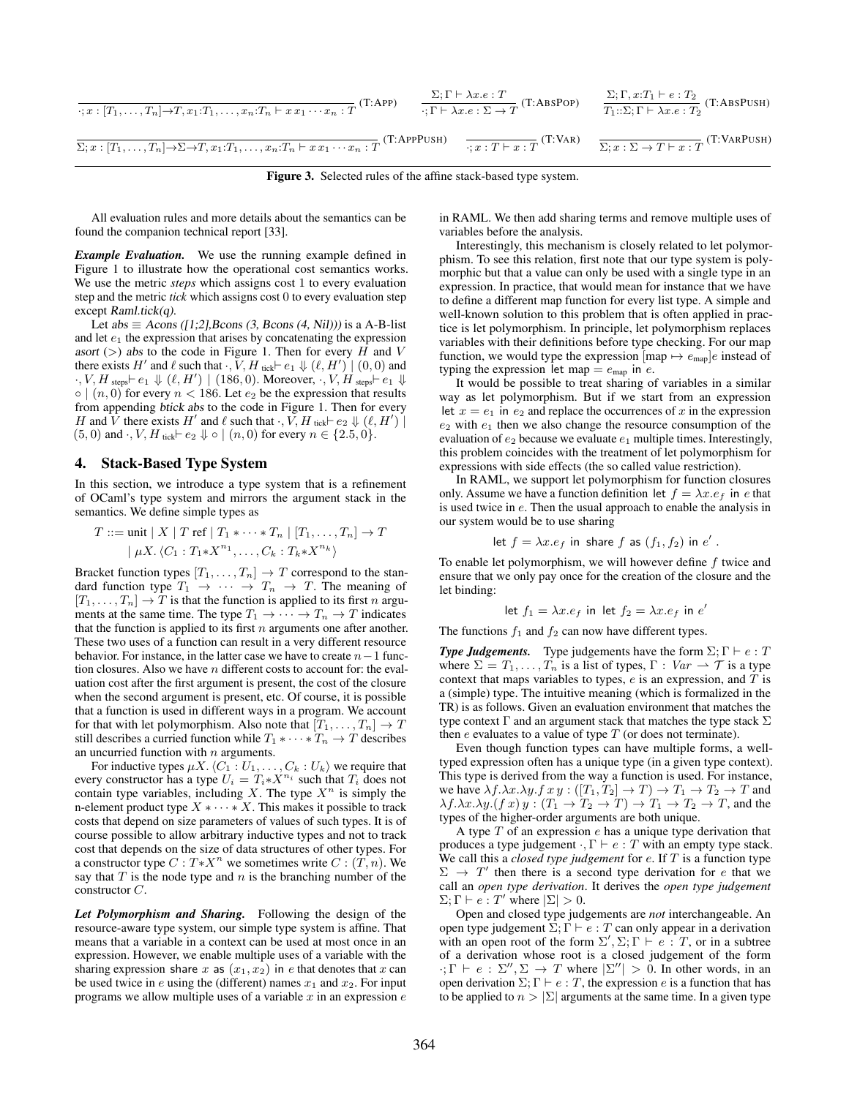$$
\frac{\Sigma; \Gamma \vdash \lambda x \cdot e : T}{\Sigma; x : [T_1, \dots, T_n] \to T, x_1 : T_1, \dots, x_n : T_n \vdash x x_1 \cdots x_n : T} (\text{T:APP}) \qquad \frac{\Sigma; \Gamma \vdash \lambda x \cdot e : T}{\Sigma; \Gamma \vdash \lambda x \cdot e : \Sigma \to T} (\text{T:ABsPop}) \qquad \frac{\Sigma; \Gamma, x : T_1 \vdash e : T_2}{T_1 : \Sigma; \Gamma \vdash \lambda x \cdot e : T_2} (\text{T:ABsPUSH})
$$
\n
$$
\frac{\Sigma; \Gamma, x : T_1 \vdash e : T_2}{\Sigma; x : [T_1, \dots, T_n] \to \Sigma \to T, x_1 : T_1, \dots, x_n : T_n \vdash x x_1 \cdots x_n : T} (\text{T:APPUSH}) \qquad \frac{\Sigma; \Gamma \vdash \lambda x \cdot e : T}{\Sigma; x : T \vdash x : T} (\text{T:VAR}) \qquad \frac{\Sigma; \Gamma, x : T_1 \vdash e : T_2}{\Sigma; x : \Sigma \to T \vdash x : T} (\text{T:VARPUSH})
$$

Figure 3. Selected rules of the affine stack-based type system.

All evaluation rules and more details about the semantics can be found the companion technical report [33].

*Example Evaluation.* We use the running example defined in Figure 1 to illustrate how the operational cost semantics works. We use the metric *steps* which assigns cost 1 to every evaluation step and the metric *tick* which assigns cost 0 to every evaluation step except Raml.tick(q).

Let abs  $\equiv$  Acons ([1;2], Bcons (3, Bcons (4, Nil))) is a A-B-list and let  $e_1$  the expression that arises by concatenating the expression asort ( $>$ ) abs to the code in Figure 1. Then for every H and V there exists H' and  $\ell$  such that  $\cdot$ ,  $\overline{V}$ ,  $H$ <sub>tick</sub> $\vdash e_1 \Downarrow (\ell, H') \mid (0, 0)$  and  $\cdot$ ,  $V$ ,  $H$  steps<sup> $\vdash e_1 \Downarrow (\ell, H') \mid (186, 0)$ . Moreover,  $\cdot$ ,  $V$ ,  $H$  steps $\vdash e_1 \Downarrow \ell$ </sup>  $\circ$  |  $(n, 0)$  for every  $n < 186$ . Let  $e_2$  be the expression that results from appending btick abs to the code in Figure 1. Then for every H and V there exists H' and  $\ell$  such that  $\cdot$ ,  $\overline{V}$ ,  $H$ <sub>tick</sub> $\vdash$   $e_2 \Downarrow (\ell, H')$  $(5, 0)$  and  $\cdot$ , V, H tick<sup> $\vdash$ </sup> e<sub>2</sub>  $\Downarrow \circ | (n, 0)$  for every  $n \in \{2.5, 0\}$ .

## 4. Stack-Based Type System

In this section, we introduce a type system that is a refinement of OCaml's type system and mirrors the argument stack in the semantics. We define simple types as

$$
T ::= \text{unit} \mid X \mid T \text{ ref} \mid T_1 * \cdots * T_n \mid [T_1, \ldots, T_n] \to T
$$

$$
\mid \mu X. \langle C_1 : T_1 * X^{n_1}, \ldots, C_k : T_k * X^{n_k} \rangle
$$

Bracket function types  $[T_1, \ldots, T_n] \rightarrow T$  correspond to the standard function type  $T_1 \rightarrow \cdots \rightarrow T_n \rightarrow T$ . The meaning of  $[T_1, \ldots, T_n] \rightarrow T$  is that the function is applied to its first n arguments at the same time. The type  $T_1 \rightarrow \cdots \rightarrow T_n \rightarrow T$  indicates that the function is applied to its first  $n$  arguments one after another. These two uses of a function can result in a very different resource behavior. For instance, in the latter case we have to create  $n-1$  function closures. Also we have  $n$  different costs to account for: the evaluation cost after the first argument is present, the cost of the closure when the second argument is present, etc. Of course, it is possible that a function is used in different ways in a program. We account for that with let polymorphism. Also note that  $[T_1, \ldots, T_n] \to T$ still describes a curried function while  $T_1 * \cdots * T_n \to T$  describes an uncurried function with  $n$  arguments.

For inductive types  $\mu X \, \langle C_1 : U_1, \ldots, C_k : U_k \rangle$  we require that every constructor has a type  $U_i = T_i * X^{n_i}$  such that  $T_i$  does not contain type variables, including X. The type  $X^n$  is simply the n-element product type  $X \times \cdots \times X$ . This makes it possible to track costs that depend on size parameters of values of such types. It is of course possible to allow arbitrary inductive types and not to track cost that depends on the size of data structures of other types. For a constructor type  $C: T^*X^n$  we sometimes write  $C: (T, n)$ . We say that  $T$  is the node type and  $n$  is the branching number of the constructor C.

*Let Polymorphism and Sharing.* Following the design of the resource-aware type system, our simple type system is affine. That means that a variable in a context can be used at most once in an expression. However, we enable multiple uses of a variable with the sharing expression share x as  $(x_1, x_2)$  in e that denotes that x can be used twice in e using the (different) names  $x_1$  and  $x_2$ . For input programs we allow multiple uses of a variable  $x$  in an expression  $e$  in RAML. We then add sharing terms and remove multiple uses of variables before the analysis.

Interestingly, this mechanism is closely related to let polymorphism. To see this relation, first note that our type system is polymorphic but that a value can only be used with a single type in an expression. In practice, that would mean for instance that we have to define a different map function for every list type. A simple and well-known solution to this problem that is often applied in practice is let polymorphism. In principle, let polymorphism replaces variables with their definitions before type checking. For our map function, we would type the expression  $[\text{map} \rightarrow e_{\text{map}}]e$  instead of typing the expression let map =  $e_{\text{map}}$  in  $e$ .

It would be possible to treat sharing of variables in a similar way as let polymorphism. But if we start from an expression let  $x = e_1$  in  $e_2$  and replace the occurrences of x in the expression  $e_2$  with  $e_1$  then we also change the resource consumption of the evaluation of  $e_2$  because we evaluate  $e_1$  multiple times. Interestingly, this problem coincides with the treatment of let polymorphism for expressions with side effects (the so called value restriction).

In RAML, we support let polymorphism for function closures only. Assume we have a function definition let  $f = \lambda x.e<sub>f</sub>$  in e that is used twice in e. Then the usual approach to enable the analysis in our system would be to use sharing

let 
$$
f = \lambda x.e_f
$$
 in share f as  $(f_1, f_2)$  in  $e'$ .

To enable let polymorphism, we will however define  $f$  twice and ensure that we only pay once for the creation of the closure and the let binding:

let 
$$
f_1 = \lambda x.e_f
$$
 in let  $f_2 = \lambda x.e_f$  in  $e'$ 

The functions  $f_1$  and  $f_2$  can now have different types.

*Type Judgements.* Type judgements have the form  $\Sigma$ ;  $\Gamma \vdash e : T$ where  $\Sigma = T_1, \ldots, T_n$  is a list of types,  $\Gamma : Var \to \mathcal{T}$  is a type context that maps variables to types,  $e$  is an expression, and  $T$  is a (simple) type. The intuitive meaning (which is formalized in the TR) is as follows. Given an evaluation environment that matches the type context  $\Gamma$  and an argument stack that matches the type stack  $\Sigma$ then  $e$  evaluates to a value of type  $T$  (or does not terminate).

Even though function types can have multiple forms, a welltyped expression often has a unique type (in a given type context). This type is derived from the way a function is used. For instance, we have  $\lambda f \cdot \lambda x \cdot \lambda y \cdot f x y : ([T_1, T_2] \to T) \to T_1 \to T_2 \to T$  and  $\lambda f.\lambda x.\lambda y. (f x) y : (T_1 \rightarrow T_2 \rightarrow T) \rightarrow T_1 \rightarrow T_2 \rightarrow T$ , and the types of the higher-order arguments are both unique.

A type  $T$  of an expression  $e$  has a unique type derivation that produces a type judgement  $\cdot, \Gamma \vdash e : T$  with an empty type stack. We call this a *closed type judgement* for e. If T is a function type  $\Sigma \rightarrow T'$  then there is a second type derivation for e that we call an *open type derivation*. It derives the *open type judgement*  $\Sigma; \Gamma \vdash e : T'$  where  $|\Sigma| > 0$ .

Open and closed type judgements are *not* interchangeable. An open type judgement  $\Sigma$ ;  $\Gamma \vdash e : T$  can only appear in a derivation with an open root of the form  $\Sigma', \Sigma, \Gamma \vdash e : T$ , or in a subtree of a derivation whose root is a closed judgement of the form  $\cdot; \Gamma \vdash e : \Sigma'', \Sigma \rightarrow T$  where  $|\Sigma''| > 0$ . In other words, in an open derivation  $\Sigma$ ;  $\Gamma \vdash e : T$ , the expression e is a function that has to be applied to  $n > |\Sigma|$  arguments at the same time. In a given type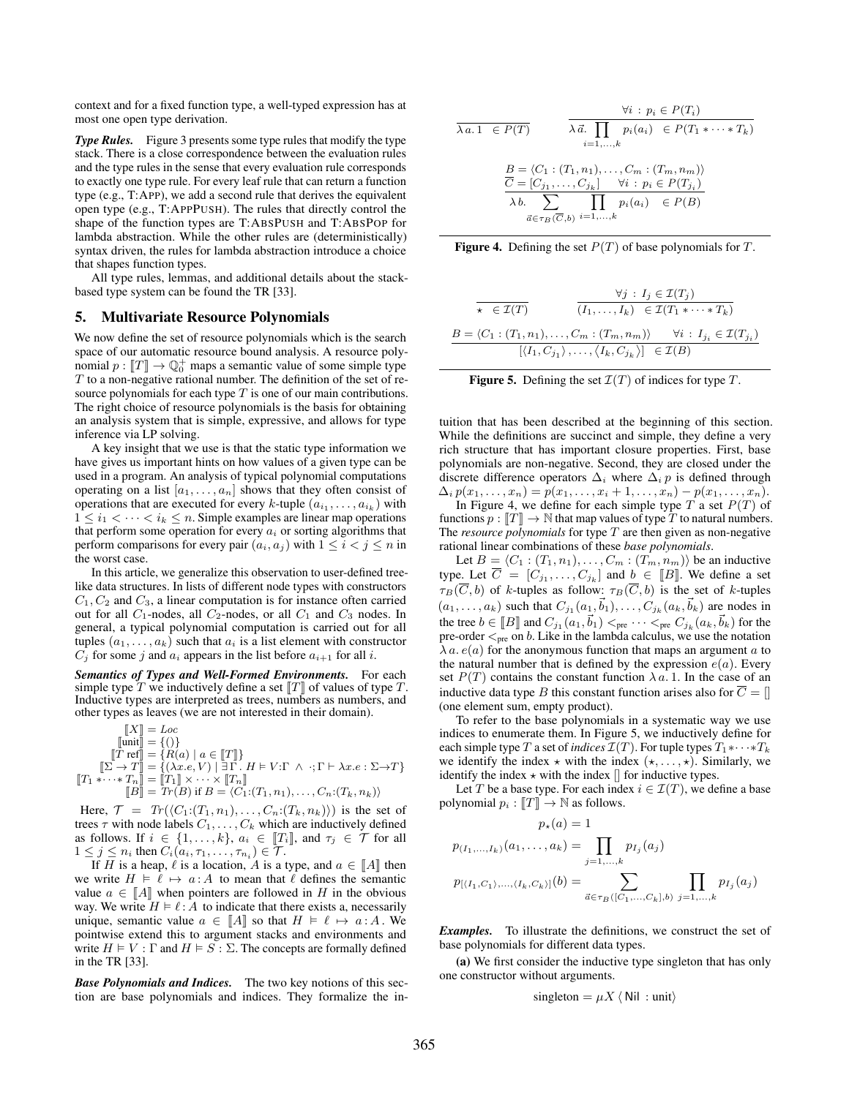context and for a fixed function type, a well-typed expression has at most one open type derivation.

**Type Rules.** Figure 3 presents some type rules that modify the type stack. There is a close correspondence between the evaluation rules and the type rules in the sense that every evaluation rule corresponds to exactly one type rule. For every leaf rule that can return a function type (e.g., T:APP), we add a second rule that derives the equivalent open type (e.g., T:APPPUSH). The rules that directly control the shape of the function types are T:ABSPUSH and T:ABSPOP for lambda abstraction. While the other rules are (deterministically) syntax driven, the rules for lambda abstraction introduce a choice that shapes function types.

All type rules, lemmas, and additional details about the stackbased type system can be found the TR [33].

#### 5. Multivariate Resource Polynomials

We now define the set of resource polynomials which is the search space of our automatic resource bound analysis. A resource polynomial  $p: \llbracket T \rrbracket \to \mathbb{Q}^+_0$  maps a semantic value of some simple type  $T$  to a non-negative rational number. The definition of the set of resource polynomials for each type  $T$  is one of our main contributions. The right choice of resource polynomials is the basis for obtaining an analysis system that is simple, expressive, and allows for type inference via LP solving.

A key insight that we use is that the static type information we have gives us important hints on how values of a given type can be used in a program. An analysis of typical polynomial computations operating on a list  $[a_1, \ldots, a_n]$  shows that they often consist of operations that are executed for every k-tuple  $(a_{i_1}, \ldots, a_{i_k})$  with  $1 \leq i_1 < \cdots < i_k \leq n$ . Simple examples are linear map operations that perform some operation for every  $a_i$  or sorting algorithms that perform comparisons for every pair  $(a_i, a_j)$  with  $1 \leq i < j \leq n$  in the worst case.

In this article, we generalize this observation to user-defined treelike data structures. In lists of different node types with constructors  $C_1, C_2$  and  $C_3$ , a linear computation is for instance often carried out for all  $C_1$ -nodes, all  $C_2$ -nodes, or all  $C_1$  and  $C_3$  nodes. In general, a typical polynomial computation is carried out for all tuples  $(a_1, \ldots, a_k)$  such that  $a_i$  is a list element with constructor  $C_j$  for some j and  $a_i$  appears in the list before  $a_{i+1}$  for all i.

*Semantics of Types and Well-Formed Environments.* For each simple type  $\overline{T}$  we inductively define a set  $\llbracket T \rrbracket$  of values of type  $T$ . Inductive types are interpreted as trees, numbers as numbers, and other types as leaves (we are not interested in their domain).

$$
\begin{aligned}\n[\![X]\!] &= Loc \\
[\![\text{unit}]\!] &= \{()\} \\
[\![T \text{ ref}]\!] &= \{R(a) \mid a \in [\![T]\!]\} \\
[\![\Sigma \to T]\!] &= \{(\lambda x.e, V) \mid \exists \Gamma \ldotp H \models V:\Gamma \wedge \cdot; \Gamma \vdash \lambda x.e: \Sigma \to T\} \\
[\![T_1 \ast \cdots \ast T_n]\!] &= [\![T_1]\!] \times \cdots \times [\![T_n]\!] \\
[\![B]\!] &= Tr(B) \text{ if } B = \langle C_1:(T_1, n_1), \ldots, C_n:(T_k, n_k)\rangle\n\end{aligned}
$$

Here,  $\mathcal{T} = Tr(\langle C_1:(T_1,n_1),\ldots,C_n:(T_k,n_k)\rangle)$  is the set of trees  $\tau$  with node labels  $C_1, \ldots, C_k$  which are inductively defined as follows. If  $i \in \{1, \ldots, k\}$ ,  $a_i \in [T_i]$ , and  $\tau_j \in \mathcal{T}$  for all  $1 \leq j \leq n_i$  then  $C_i(a_i, \tau_1, \ldots, \tau_{n_i}) \in \mathcal{T}$ .

If H is a heap,  $\ell$  is a location, A is a type, and  $a \in \llbracket A \rrbracket$  then we write  $H \models \ell \mapsto a : A$  to mean that  $\ell$  defines the semantic value  $a \in [A]$  when pointers are followed in H in the obvious way. We write  $H \models \ell : A$  to indicate that there exists a, necessarily unique, semantic value  $a \in [A]$  so that  $H \models \ell \mapsto a : A$ . We pointwise extend this to argument stacks and environments and write  $H \models V : \Gamma$  and  $H \models S : \Sigma$ . The concepts are formally defined in the TR [33].

*Base Polynomials and Indices.* The two key notions of this section are base polynomials and indices. They formalize the in-

$$
\frac{\forall i : p_i \in P(T_i)}{\lambda a. 1 \in P(T)}
$$
\n
$$
\frac{\forall i : p_i \in P(T_i)}{\lambda \vec{a}.\prod_{i=1,...,k} p_i(a_i) \in P(T_1 * \cdots * T_k)}
$$
\n
$$
\frac{B}{C} = \langle C_1 : (T_1, n_1), \dots, C_m : (T_m, n_m) \rangle
$$
\n
$$
\frac{\overline{C}}{\lambda b} = \frac{[C_{j_1}, \dots, C_{j_k}] \quad \forall i : p_i \in P(T_{j_i})}{\forall i : p_i(a_i) \in P(B)}
$$
\n
$$
\frac{\overline{C}}{\overline{C} \cap B(\overline{C}, b)} = 1, \dots, k}
$$



$$
\frac{\forall j : I_j \in \mathcal{I}(T_j)}{\tau \cdot I_j \cdot \tau \cdot I_k} \n\frac{\forall j : I_j \in \mathcal{I}(T_j)}{\tau \cdot I_j, \dots, \tau \cdot I_k} \n\frac{B = \langle C_1 : (T_1, n_1), \dots, C_m : (T_m, n_m) \rangle \quad \forall i : I_{j_i} \in \mathcal{I}(T_{j_i})} \n\frac{\langle I_j, C_{j_1}, \dots, C_m : (T_m, n_m) \rangle}{\tau \cdot I_k, C_{j_k}} \n\frac{\forall i : I_{j_i} \in \mathcal{I}(T_{j_i})} \n\frac{\langle T_i, C_{j_1}, \dots, C_m : (T_m, n_m) \rangle}{\tau \cdot I_k, \tau \cdot I_k} \n\frac{\langle T_i, C_{j_1}, \dots, C_m : (T_m, n_m) \rangle}{\tau \cdot I_k, \tau \cdot I_k} \n\frac{\langle T_i, C_{j_1}, \dots, C_m : (T_m, n_m) \rangle}{\tau \cdot I_k, \tau \cdot I_k} \n\frac{\langle T_i, C_{j_1}, \dots, C_m : (T_m, n_m) \rangle}{\tau \cdot I_k, \tau \cdot I_k} \n\frac{\langle T_i, C_{j_1}, \dots, C_m : (T_m, n_m) \rangle}{\tau \cdot I_k, \tau \cdot I_k} \n\frac{\langle T_i, C_{j_1}, \dots, C_m : (T_m, n_m) \rangle}{\tau \cdot I_k, \tau \cdot I_k} \n\frac{\langle T_i, C_{j_1}, \dots, C_m : (T_m, n_m) \rangle}{\tau \cdot I_k, \tau \cdot I_k} \n\frac{\langle T_i, C_{j_1}, \dots, C_m : (T_m, n_m) \rangle}{\tau \cdot I_k, \tau \cdot I_k} \n\frac{\langle T_i, C_{j_1}, \dots, C_m : (T_m, n_m) \rangle}{\tau \cdot I_k, \tau \cdot I_k} \n\frac{\langle T_i, C_{j_1}, \dots, C_m : (T_m, n_m) \rangle}{\tau \cdot I_k, \tau \cdot I_k} \n\frac{\langle T_i, C_{j_1}, \dots, C_m : (T_m, n_m) \rangle}{\tau \cdot I_k, \tau \cdot I_k} \n\frac{\langle T_i, C_{j_1}, \dots, C_m : (T_m, n_m) \rangle}{\tau \cdot I_k, \tau \cdot I_k} \n\frac{\langle T_i, C_{j_1}, \
$$



tuition that has been described at the beginning of this section. While the definitions are succinct and simple, they define a very rich structure that has important closure properties. First, base polynomials are non-negative. Second, they are closed under the discrete difference operators  $\Delta_i$  where  $\Delta_i$  p is defined through  $\Delta_i p(x_1, \ldots, x_n) = p(x_1, \ldots, x_i + 1, \ldots, x_n) - p(x_1, \ldots, x_n).$ In Figure 4, we define for each simple type  $T$  a set  $P(T)$  of functions  $p : T \to \mathbb{N}$  that map values of type T to natural numbers.

The *resource polynomials* for type T are then given as non-negative rational linear combinations of these *base polynomials*.

Let  $B = \langle C_1 : (T_1, n_1), \ldots, C_m : (T_m, n_m) \rangle$  be an inductive type. Let  $C = [C_{j_1}, \ldots, C_{j_k}]$  and  $b \in [B]$ . We define a set  $\tau_B(\overline{C}, b)$  of k-tuples as follow:  $\tau_B(\overline{C}, b)$  is the set of k-tuples  $(a_1, \ldots, a_k)$  such that  $C_{j_1}(a_1, \vec{b}_1), \ldots, C_{j_k}(a_k, \vec{b}_k)$  are nodes in the tree  $b \in [\![B]\!]$  and  $C_{j_1}(a_1, \vec{b}_1) <_{\text{pre}} \cdots <_{\text{pre}} C_{j_k}(a_k, \vec{b}_k)$  for the pre-order  $\lt_{pre}$  on b. Like in the lambda calculus, we use the notation  $\lambda a. e(a)$  for the anonymous function that maps an argument a to the natural number that is defined by the expression  $e(a)$ . Every set  $P(T)$  contains the constant function  $\lambda a$ . 1. In the case of an inductive data type B this constant function arises also for  $\overline{C} = []$ (one element sum, empty product).

To refer to the base polynomials in a systematic way we use indices to enumerate them. In Figure 5, we inductively define for each simple type T a set of *indices*  $\mathcal{I}(T)$ . For tuple types  $T_1 * \cdots * T_k$ we identify the index  $\star$  with the index  $(\star, \ldots, \star)$ . Similarly, we identify the index  $\star$  with the index  $\parallel$  for inductive types.

Let T be a base type. For each index  $i \in \mathcal{I}(T)$ , we define a base polynomial  $p_i : ||T|| \to \mathbb{N}$  as follows.

$$
p_{\star}(a) = 1
$$
  

$$
p_{(I_1,...,I_k)}(a_1,...,a_k) = \prod_{j=1,...,k} p_{I_j}(a_j)
$$
  

$$
p_{[\langle I_1, C_1 \rangle,...,\langle I_k, C_k \rangle]}(b) = \sum_{\vec{a} \in \tau_B([\langle C_1,...,\langle C_k \rangle],b)} \prod_{j=1,...,k} p_{I_j}(a_j)
$$

*Examples.* To illustrate the definitions, we construct the set of base polynomials for different data types.

(a) We first consider the inductive type singleton that has only one constructor without arguments.

$$
singleton = \mu X \langle Nil : unit \rangle
$$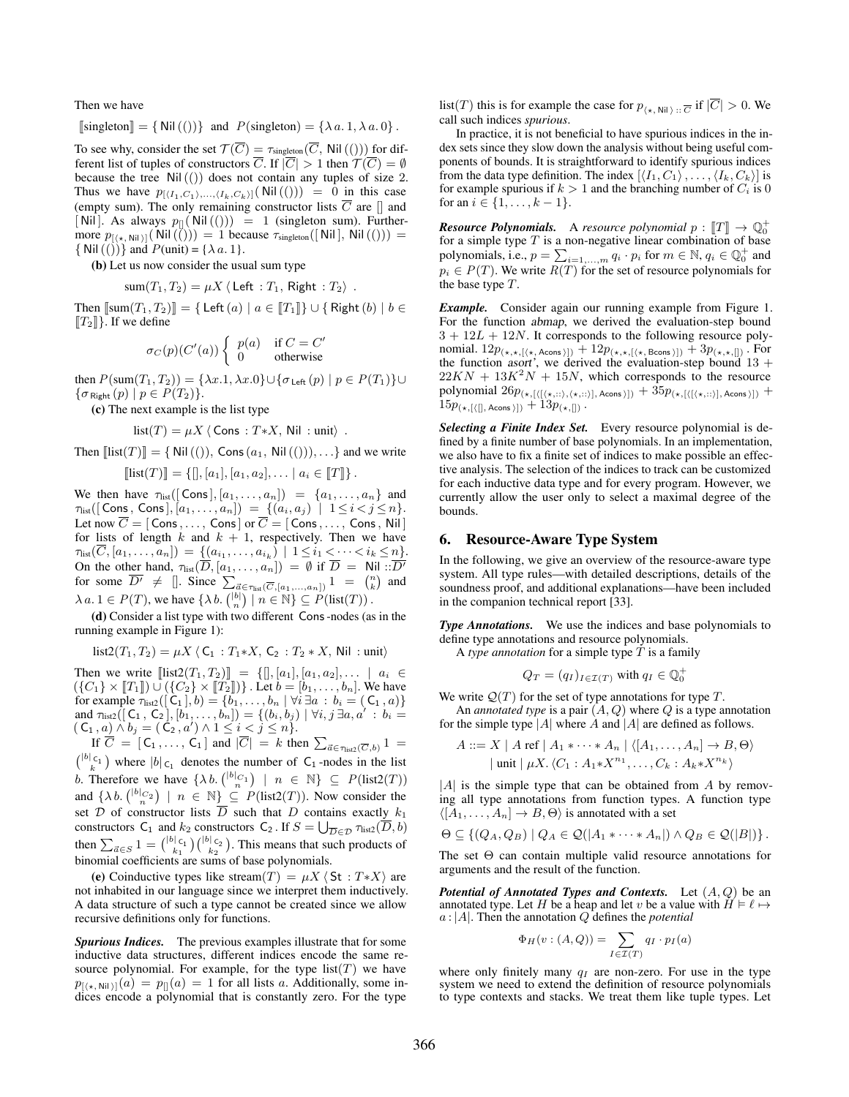Then we have

 $\llbracket \text{singleton} \rrbracket = \{ \text{Nil}(()) \}$  and  $P(\text{singleton}) = \{ \lambda \, a. 1, \lambda \, a. 0 \}.$ 

To see why, consider the set  $\mathcal{T}(C) = \tau_{\text{singleton}}(C, \text{ Nil } (())$  for different list of tuples of constructors C. If  $|C| > 1$  then  $\mathcal{T}(C) = \emptyset$ because the tree  $Nil$  (()) does not contain any tuples of size 2. Thus we have  $p_{\left[\langle I_1,C_1\rangle,\ldots,\langle I_k,C_k\rangle\right]}($  Nil $\left(\begin{pmatrix}0\end{pmatrix}\right) = 0$  in this case (empty sum). The only remaining constructor lists  $\overline{C}$  are  $[]$  and [Nil]. As always  $p_{\parallel}(\text{Nil}(()) ) = 1$  (singleton sum). Furthermore  $p_{\left[\langle \star, \text{Nil}\rangle\right]}(\text{Nil}\left(\begin{pmatrix}i\end{pmatrix})\right) = 1$  because  $\tau_{\text{singleton}}([\text{Nil}\left[\begin{pmatrix}i\end{pmatrix}, \text{Nil}\left(\begin{pmatrix}j\end{pmatrix}\right)\right) =$ { Nil (())} and  $P(\text{unit}) = \{\lambda a. 1\}$ .

(b) Let us now consider the usual sum type

$$
sum(T_1, T_2) = \mu X \langle \text{Left} : T_1, \text{Right} : T_2 \rangle.
$$

Then  $[\text{sum}(T_1, T_2)] = {\text{Left}(a) | a \in [T_1]} \cup {\text{Right}(b) | b \in$  $[T_2]$ . If we define

$$
\sigma_C(p)(C'(a)) \begin{cases} p(a) & \text{if } C = C' \\ 0 & \text{otherwise} \end{cases}
$$

then  $P(\text{sum}(T_1, T_2)) = {\lambda x.1, \lambda x.0} \cup {\sigma_{\text{Left}}(p) | p \in P(T_1)} \cup$  $\{\sigma_{\text{Right}}(p) \mid p \in P(T_2)\}.$ 

(c) The next example is the list type

$$
list(T) = \mu X \langle \text{Cons} : T \ast X, \text{Nil} : \text{unit} \rangle \ .
$$

Then  $\left[\text{list}(T)\right] = \{ \text{Nil}(())\}$ , Cons $(a_1, \text{Nil}(())), \ldots \}$  and we write

$$
[\![\mathsf{list}(T)]\!] = \{ [\![\,,[a_1],[a_1,a_2],\dots \mid a_i \in [\![T]\!] \}.
$$

We then have  $\tau_{list}([Cons], [a_1, \ldots, a_n]) = \{a_1, \ldots, a_n\}$  and  $\tau_{\text{list}}([ \text{Cons, Cons}], [a_1, \ldots, a_n]) = \{ (a_i, a_j) \mid 1 \leq i < j \leq n \}.$ Let now  $\overline{C} = [\textsf{Cons}, \dots, \textsf{Cons}]$  or  $\overline{C} = [\textsf{Cons}, \dots, \textsf{Cons}, \textsf{Nil}]$ for lists of length k and  $k + 1$ , respectively. Then we have  $\tau_{\text{list}}(C, [a_1, \ldots, a_n]) = \{ (a_{i_1}, \ldots, a_{i_k}) \, \mid \, 1 \leq i_1 < \cdots < i_k \leq n \}.$ On the other hand,  $\tau_{\text{list}}(D, [a_1, \ldots, a_n]) = \emptyset$  if  $D = \text{Nil} :: D'$ for some  $\overline{D'} \neq []$ . Since  $\sum_{\vec{a} \in \tau_{\text{list}}(\overline{C}, [a_1,...,a_n])} 1 = \binom{n}{k}$  and  $\lambda a. 1 \in P(T)$ , we have  $\{\lambda b. \binom{|b|}{n} \mid n \in \mathbb{N}\} \subseteq P(\text{list}(T))$ .

(d) Consider a list type with two different Cons-nodes (as in the running example in Figure 1):

$$
list2(T_1, T_2) = \mu X \langle C_1 : T_1 * X, C_2 : T_2 * X, Nil : unit \rangle
$$

Then we write  $[\text{list2}(T_1, T_2)] = \{[], [a_1], [a_1, a_2], \dots \mid a_i \in$  $(\{C_1\} \times \llbracket T_1 \rrbracket) \cup (\{C_2\} \times \llbracket T_2 \rrbracket)\}.$  Let  $b = [b_1, \ldots, b_n]$ . We have for example  $\tau_{\text{list2}}([{\sf C}_1],b) = \{b_1,\ldots,b_n \mid \forall i \, \exists a \, : \, b_i = ({\sf C}_1,a)\}$ and  $\tau_{\text{list2}}([C_1, C_2], [b_1, \ldots, b_n]) = \{(b_i, b_j) \mid \forall i, j \exists a, a' : b_i =$  $(C_1, a) \wedge b_j = (C_2, a') \wedge 1 \leq i < j \leq n$ .

If  $C = [C_1, \ldots, C_1]$  and  $|C| = k$  then  $\sum_{\vec{a} \in \tau_{\text{list2}}(\overline{C}, b)} 1 =$  $\binom{|b|c_1}{k}$  where  $|b|c_1$  denotes the number of  $C_1$ -nodes in the list b. Therefore we have  $\{\lambda b. \binom{|b|c_1}{n} \mid n \in \mathbb{N}\} \subseteq P(\text{list2}(T))$ and  $\{\lambda b. \binom{|b|_{C_2}}{n}\mid n \in \mathbb{N}\}\subseteq P(\text{list2}(T)).$  Now consider the set  $D$  of constructor lists  $\overline{D}$  such that  $D$  contains exactly  $k_1$ constructors  $C_1$  and  $k_2$  constructors  $C_2$ . If  $S = \bigcup_{\overline{D} \in \mathcal{D}} \tau_{\text{list2}}(D, b)$ then  $\sum_{\vec{a} \in S} 1 = \binom{|b|c_1}{k_1} \binom{|b|c_2}{k_2}$ . This means that such products of binomial coefficients are sums of base polynomials.

(e) Coinductive types like stream $(T) = \mu X \langle St : T * X \rangle$  are not inhabited in our language since we interpret them inductively. A data structure of such a type cannot be created since we allow recursive definitions only for functions.

*Spurious Indices.* The previous examples illustrate that for some inductive data structures, different indices encode the same resource polynomial. For example, for the type  $list(T)$  we have  $p_{\left[\langle \star, \text{Nil}\rangle\right]}(a) = p_{\parallel}(a) = 1$  for all lists a. Additionally, some indices encode a polynomial that is constantly zero. For the type list(T) this is for example the case for  $p_{\langle \star, Ni \rangle ::\overline{C}}$  if  $|\overline{C}| > 0$ . We call such indices *spurious*.

In practice, it is not beneficial to have spurious indices in the index sets since they slow down the analysis without being useful components of bounds. It is straightforward to identify spurious indices from the data type definition. The index  $\vert\langle I_1, C_1\rangle, \ldots, \langle I_k, C_k\rangle\rvert$  is for example spurious if  $k > 1$  and the branching number of  $C_i$  is 0 for an  $i \in \{1, ..., k-1\}$ .

**Resource Polynomials.** A resource polynomial  $p : \llbracket T \rrbracket \to \mathbb{Q}_0^+$ for a simple type  $T$  is a non-negative linear combination of base polynomials, i.e.,  $p = \sum_{i=1,\dots,m} q_i \cdot p_i$  for  $m \in \mathbb{N}$ ,  $q_i \in \mathbb{Q}_0^+$  and  $p_i \in P(T)$ . We write  $R(T)$  for the set of resource polynomials for the base type T.

*Example.* Consider again our running example from Figure 1. For the function abmap, we derived the evaluation-step bound  $3 + 12L + 12N$ . It corresponds to the following resource polynomial.  $12p_{(*,*,[(*, \text{Acons}')]}) + 12p_{(*,*,[(*, \text{Bcons}')]}) + 3p_{(*,*,[]}$ . For the function *asort'*, we derived the evaluation-step bound  $13 +$  $22KN + 13K^2N + 15N$ , which corresponds to the resource polynomial  $26p_{(\star, [(\{\star,\dots\},\{\star,\dots\})], \text{Acons}})$ ]) +  $35p_{(\star, [(\{\star,\dots\}), \text{Acons}\})]$  +  $15p_{(\star, [{\langle}[], \text{Acons} {\rangle}])} + 13p_{(\star, []}).$ 

*Selecting a Finite Index Set.* Every resource polynomial is defined by a finite number of base polynomials. In an implementation, we also have to fix a finite set of indices to make possible an effective analysis. The selection of the indices to track can be customized for each inductive data type and for every program. However, we currently allow the user only to select a maximal degree of the bounds.

## 6. Resource-Aware Type System

In the following, we give an overview of the resource-aware type system. All type rules—with detailed descriptions, details of the soundness proof, and additional explanations—have been included in the companion technical report [33].

*Type Annotations.* We use the indices and base polynomials to define type annotations and resource polynomials.

A *type annotation* for a simple type T is a family

$$
Q_T = (q_I)_{I \in \mathcal{I}(T)}
$$
 with  $q_I \in \mathbb{Q}_0^+$ 

We write  $Q(T)$  for the set of type annotations for type T.

An *annotated type* is a pair  $(A, Q)$  where  $Q$  is a type annotation for the simple type  $|A|$  where A and  $|A|$  are defined as follows.

$$
A ::= X \mid A \text{ ref} \mid A_1 * \cdots * A_n \mid \langle [A_1, \ldots, A_n] \to B, \Theta \rangle
$$
  
 
$$
\mid \text{unit} \mid \mu X. \langle C_1 : A_1 * X^{n_1}, \ldots, C_k : A_k * X^{n_k} \rangle
$$

 $|A|$  is the simple type that can be obtained from A by removing all type annotations from function types. A function type  $\langle [A_1, \ldots, A_n] \to B, \Theta \rangle$  is annotated with a set

$$
\Theta \subseteq \left\{ (Q_A, Q_B) \mid Q_A \in \mathcal{Q}(|A_1 \ast \cdots \ast A_n|) \land Q_B \in \mathcal{Q}(|B|) \right\}.
$$

The set  $\Theta$  can contain multiple valid resource annotations for arguments and the result of the function.

*Potential of Annotated Types and Contexts.* Let  $(A, Q)$  be an annotated type. Let H be a heap and let v be a value with  $H \models \ell \mapsto$ a : |A|. Then the annotation Q defines the *potential*

$$
\Phi_H(v:(A,Q)) = \sum_{I \in \mathcal{I}(T)} q_I \cdot p_I(a)
$$

where only finitely many  $q_I$  are non-zero. For use in the type system we need to extend the definition of resource polynomials to type contexts and stacks. We treat them like tuple types. Let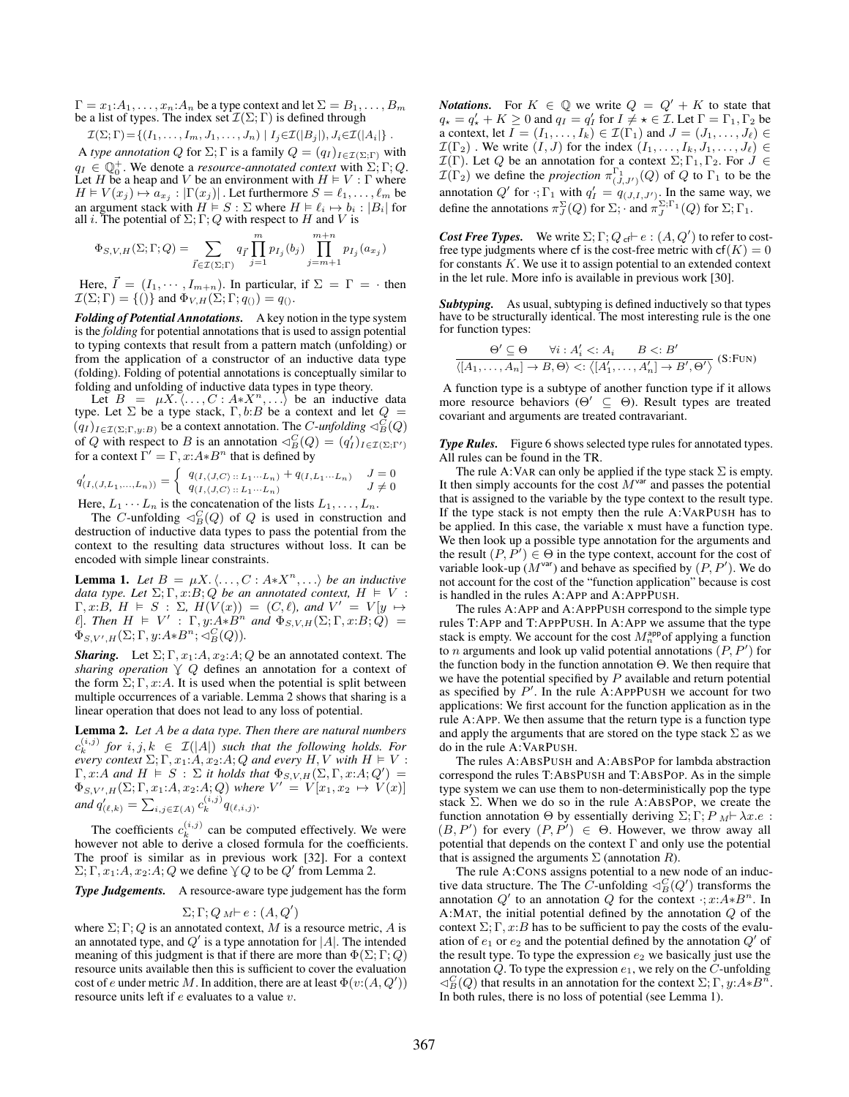$\Gamma = x_1: A_1, \ldots, x_n: A_n$  be a type context and let  $\Sigma = B_1, \ldots, B_m$ be a list of types. The index set  $\mathcal{I}(\Sigma; \Gamma)$  is defined through

 $\mathcal{I}(\Sigma;\Gamma) = \{(I_1,\ldots,I_m,J_1,\ldots,J_n) \mid I_j \in \mathcal{I}(|B_j|), J_i \in \mathcal{I}(|A_i|) \}.$ 

A *type annotation* Q for  $\Sigma$ ; Γ is a family  $Q = (q_I)_{I \in \mathcal{I}(\Sigma; \Gamma)}$  with  $q_I \in \mathbb{Q}_0^+$ . We denote a *resource-annotated context* with  $\Sigma; \Gamma; Q$ . Let H be a heap and V be an environment with  $H \models V : \Gamma$  where  $H \vDash V(x_j) \mapsto a_{x_j} : |\Gamma(x_j)|$  . Let furthermore  $S = \ell_1, \ldots, \ell_m$  be an argument stack with  $H \models S : \Sigma$  where  $H \models \ell_i \mapsto b_i : |B_i|$  for all *i*. The potential of  $\Sigma$ ; Γ; Q with respect to H and V is

$$
\Phi_{S,V,H}(\Sigma;\Gamma;Q) = \sum_{\vec{I} \in \mathcal{I}(\Sigma;\Gamma)} q_{\vec{I}} \prod_{j=1}^{m} p_{I_j}(b_j) \prod_{j=m+1}^{m+n} p_{I_j}(a_{x_j})
$$

Here,  $\vec{I} = (I_1, \dots, I_{m+n})$ . In particular, if  $\Sigma = \Gamma = \cdot$  then  $\mathcal{I}(\Sigma;\Gamma)=\{()\}$  and  $\Phi_{V,H}(\Sigma;\Gamma;q_{()})=q_{()}.$ 

*Folding of Potential Annotations.* A key notion in the type system is the *folding* for potential annotations that is used to assign potential to typing contexts that result from a pattern match (unfolding) or from the application of a constructor of an inductive data type (folding). Folding of potential annotations is conceptually similar to folding and unfolding of inductive data types in type theory.

Let  $B = \mu X \cdot \langle \dots, C : A * X^n, \dots \rangle$  be an inductive data type. Let  $\Sigma$  be a type stack,  $\Gamma$ , b: B be a context and let  $Q =$  $(q_I)_{I \in \mathcal{I}(\Sigma; \Gamma, y:B)}$  be a context annotation. The C-*unfolding*  $\triangleleft_B^C(Q)$ of Q with respect to B is an annotation  $\triangleleft_B^C(Q) = (q'_I)_{I \in \mathcal{I}(\Sigma; \Gamma')}$ for a context  $\Gamma' = \Gamma, x : A * B^n$  that is defined by

$$
q'_{(I,(J,L_1,...,L_n))} = \begin{cases} q_{(I,(J,C)}::L_1\cdots L_n) + q_{(I,L_1\cdots L_n)} & J=0\\ q_{(I,(J,C)}::L_1\cdots L_n) & J\neq 0 \end{cases}
$$

Here,  $L_1 \cdots L_n$  is the concatenation of the lists  $L_1, \ldots, L_n$ .

The C-unfolding  $\triangleleft^C_B(Q)$  of Q is used in construction and destruction of inductive data types to pass the potential from the context to the resulting data structures without loss. It can be encoded with simple linear constraints.

**Lemma 1.** Let  $B = \mu X$ ,  $\langle \ldots, C : A * X^n, \ldots \rangle$  be an inductive *data type. Let*  $\Sigma$ ;  $\Gamma$ ,  $x$ :  $B$ ;  $Q$  *be an annotated context,*  $H \models V$ :  $\Gamma, x : B, H \models S : \Sigma, H(V(x)) = (C, \ell), \text{ and } V' = V[y \mapsto$  $\ell$ ]. Then  $H \models V' : \Gamma, y: A * B^n$  and  $\Phi_{S,V,H}(\Sigma; \Gamma, x: B; \widetilde{Q}) =$  $\Phi_{S,V',H}(\Sigma;\Gamma,y:A*B^n;\triangleleft_B^C(Q)).$ 

*Sharing.* Let  $\Sigma$ ;  $\Gamma$ ,  $x_1$ :  $A$ ,  $x_2$ :  $A$ ;  $Q$  be an annotated context. The *sharing operation*  $\vee Q$  defines an annotation for a context of the form  $\Sigma$ ; Γ, x:A. It is used when the potential is split between multiple occurrences of a variable. Lemma 2 shows that sharing is a linear operation that does not lead to any loss of potential.

Lemma 2. *Let* A *be a data type. Then there are natural numbers*  $c_k^{(i,j)}$  for  $i, j, k \in \mathcal{I}(|A|)$  such that the following holds. For *every context*  $\Sigma$ ;  $\Gamma$ ,  $x_1$ :  $\overline{A}$ ,  $x_2$ :  $A$ ;  $Q$  *and every*  $H$ ,  $V$  *with*  $H \models V$ :  $\Gamma, x:A$  and  $H \models S : \Sigma$  it holds that  $\Phi_{S,V,H}(\Sigma,\Gamma,x:A;Q') =$  $\Phi_{S,V',H}(\Sigma;\Gamma,x_1:A,x_2:A;Q)$  where  $V'=V[x_1,x_2\mapsto V(x)]$ and  $q'_{(\ell,k)} = \sum_{i,j \in \mathcal{I}(A)} c_k^{(i,j)} q_{(\ell,i,j)}$ .

The coefficients  $c_k^{(i,j)}$  can be computed effectively. We were however not able to derive a closed formula for the coefficients. The proof is similar as in previous work [32]. For a context  $\Sigma$ ;  $\Gamma$ ,  $x_1$ :  $A$ ,  $x_2$ :  $A$ ;  $Q$  we define  $\gamma Q$  to be  $Q'$  from Lemma 2.

*Type Judgements.* A resource-aware type judgement has the form

$$
\Sigma;\Gamma;Q_M \vdash e:(A,Q')
$$

where  $\Sigma$ ;  $\Gamma$ ; Q is an annotated context, M is a resource metric, A is an annotated type, and  $Q'$  is a type annotation for |A|. The intended meaning of this judgment is that if there are more than  $\Phi(\Sigma; \Gamma; Q)$ resource units available then this is sufficient to cover the evaluation cost of e under metric M. In addition, there are at least  $\Phi(v:(A,Q'))$ resource units left if e evaluates to a value v.

*Notations.* For  $K \in \mathbb{Q}$  we write  $Q = Q' + K$  to state that  $q_{\star} = q_{\star}' + K \ge 0$  and  $q_I = q_I'$  for  $I \ne \star \in \mathcal{I}$ . Let  $\Gamma = \Gamma_1, \Gamma_2$  be a context, let  $\overline{I} = (I_1, \ldots, I_k) \in \mathcal{I}(\Gamma_1)$  and  $J = (J_1, \ldots, J_\ell) \in$  $\mathcal{I}(\Gamma_2)$ . We write  $(I, J)$  for the index  $(I_1, \ldots, I_k, J_1, \ldots, J_\ell) \in$  $\mathcal{I}(\Gamma)$ . Let Q be an annotation for a context  $\Sigma; \Gamma_1, \Gamma_2$ . For  $J \in$  $\mathcal{I}(\Gamma_2)$  we define the *projection*  $\pi^{\Gamma_1}_{(J,J')}(Q)$  of Q to  $\Gamma_1$  to be the annotation  $Q'$  for  $\cdot; \Gamma_1$  with  $q'_I = q_{(J, I, J')}$ . In the same way, we define the annotations  $\pi_J^{\Sigma}(Q)$  for  $\Sigma$ ;  $\cdot$  and  $\pi_J^{\Sigma;\Gamma_1}(Q)$  for  $\Sigma;\Gamma_1$ .

*Cost Free Types.* We write  $\Sigma$ ;  $\Gamma$ ;  $Q$ <sub>cf</sub> $\vdash e$  :  $(A, Q')$  to refer to costfree type judgments where cf is the cost-free metric with  $cf(K) = 0$ for constants  $K$ . We use it to assign potential to an extended context in the let rule. More info is available in previous work [30].

*Subtyping.* As usual, subtyping is defined inductively so that types have to be structurally identical. The most interesting rule is the one for function types:

$$
\frac{\Theta' \subseteq \Theta \quad \forall i: A'_i <: A_i \quad B <: B' \quad \langle [A_1, \dots, A_n] \to B, \Theta \rangle <: \langle [A'_1, \dots, A'_n] \to B', \Theta' \rangle \quad (\text{S:Fun})
$$

A function type is a subtype of another function type if it allows more resource behaviors ( $\Theta' \subseteq \Theta$ ). Result types are treated covariant and arguments are treated contravariant.

**Type Rules.** Figure 6 shows selected type rules for annotated types. All rules can be found in the TR.

The rule A:VAR can only be applied if the type stack  $\Sigma$  is empty. It then simply accounts for the cost  $M<sup>var</sup>$  and passes the potential that is assigned to the variable by the type context to the result type. If the type stack is not empty then the rule A:VARPUSH has to be applied. In this case, the variable x must have a function type. We then look up a possible type annotation for the arguments and the result  $(P, P') \in \Theta$  in the type context, account for the cost of variable look-up  $(M^{\text{var}})$  and behave as specified by  $(P, P')$ . We do not account for the cost of the "function application" because is cost is handled in the rules A:APP and A:APPPUSH.

The rules A:APP and A:APPPUSH correspond to the simple type rules T:APP and T:APPPUSH. In A:APP we assume that the type stack is empty. We account for the cost  $M_n^{\text{app}}$  of applying a function to *n* arguments and look up valid potential annotations  $(P, P')$  for the function body in the function annotation  $\Theta$ . We then require that we have the potential specified by  $P$  available and return potential as specified by  $P'$ . In the rule A:APPPUSH we account for two applications: We first account for the function application as in the rule A:APP. We then assume that the return type is a function type and apply the arguments that are stored on the type stack  $\Sigma$  as we do in the rule A:VARPUSH.

The rules A:ABSPUSH and A:ABSPOP for lambda abstraction correspond the rules T:ABSPUSH and T:ABSPOP. As in the simple type system we can use them to non-deterministically pop the type stack  $\Sigma$ . When we do so in the rule A:ABSPOP, we create the function annotation Θ by essentially deriving  $\Sigma$ ; Γ;  $P_M \vdash \lambda x.e$ :  $(B, P')$  for every  $(P, P') \in \Theta$ . However, we throw away all potential that depends on the context  $\Gamma$  and only use the potential that is assigned the arguments  $\Sigma$  (annotation R).

The rule A:CONS assigns potential to a new node of an inductive data structure. The The  $\tilde{C}$ -unfolding  $\lhd_B^C(Q')$  transforms the annotation  $Q'$  to an annotation  $Q$  for the context  $\cdot; x:A*B^n$ . In A:MAT, the initial potential defined by the annotation Q of the context  $\Sigma$ ; Γ, x:B has to be sufficient to pay the costs of the evaluation of  $e_1$  or  $e_2$  and the potential defined by the annotation  $Q'$  of the result type. To type the expression  $e_2$  we basically just use the annotation  $Q$ . To type the expression  $e_1$ , we rely on the  $C$ -unfolding  $\triangleleft^C_B(Q)$  that results in an annotation for the context  $\Sigma$ ;  $\Gamma$ ,  $y$ :  $A*B^n$ . In both rules, there is no loss of potential (see Lemma 1).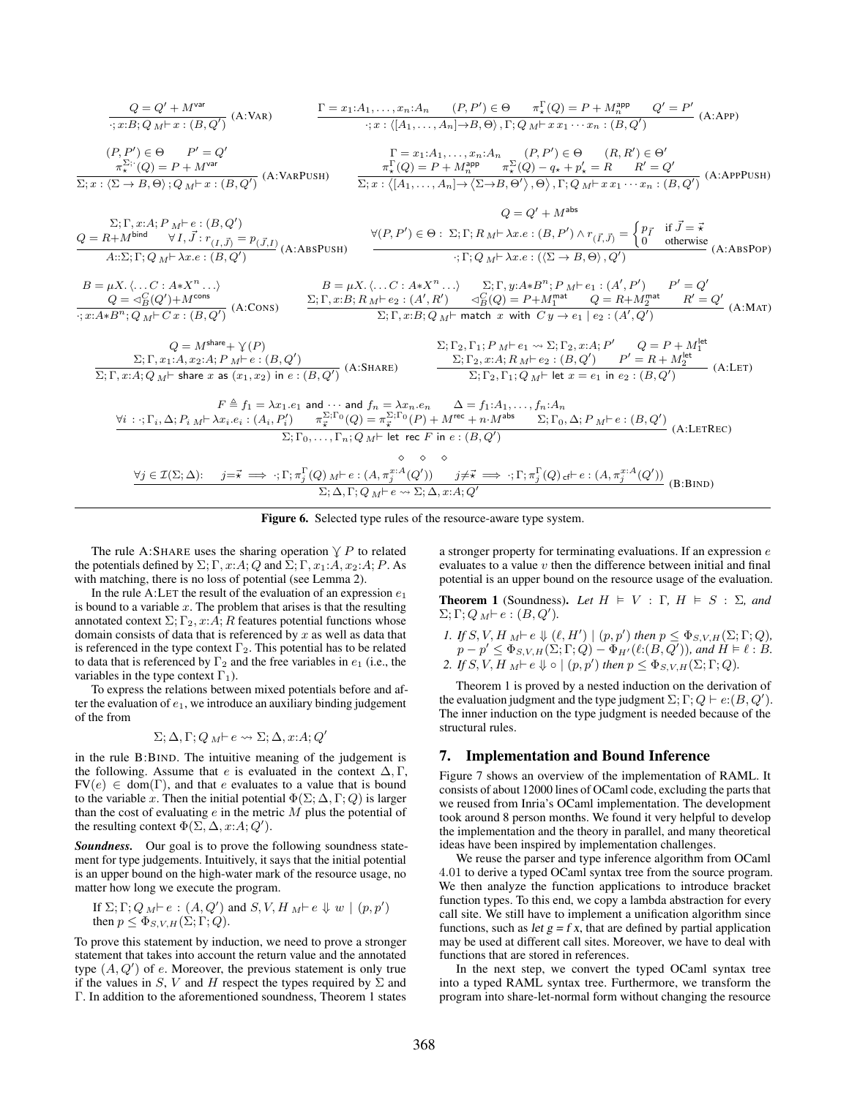$$
Q = Q' + M^{var}
$$
\n
$$
\frac{Q}{\cdot; x:B; Q \text{ } M^{\perp}x : (B, Q')}(A; VAR)
$$
\n
$$
\frac{\Gamma = x_1: A_1, \dots, x_n: A_n \quad (P, P') \in \Theta \quad \pi_*^{\Gamma}(Q) = P + M_n^{app}}{\cdot; x : (B, Q')} \quad (A: \text{APP})
$$
\n
$$
\frac{\pi_*^{\Gamma}(Q) = P + M^{var}}{\pi_*^{\Gamma}(\Omega) = P + M^{var}} \quad (A: \text{APP})
$$
\n
$$
\frac{\pi_*^{\Gamma}(Q) = P + M^{var}}{\pi_*^{\Gamma}(\Omega) = P + M^{var}} \quad (A: \text{VARPUSH})
$$
\n
$$
\frac{\pi_*^{\Gamma}(Q) = P + M_n^{app}}{\pi_*^{\Gamma}(Q) = P + M_n^{app}} \quad \pi_*^{\Gamma}(Q) - q_* + p'_* = R \quad R' = Q'
$$
\n
$$
\frac{\pi_*^{\Gamma}(Q) = P + M^{app}}{A: \Sigma; T; Q \to B, \Theta); Q \text{ } M \to x : (B, Q')}(A: \text{VARPUSH})
$$
\n
$$
Q = Q' + M^{bb}
$$
\n
$$
\frac{\sum_i \Gamma, x:A, P_{M^{\perp}}e : (B, Q')}{A: \Sigma; T; Q_{M^{\perp}} \text{ } \lambda x.e. (B, Q')}(A: \text{ABSPUSH})
$$
\n
$$
\frac{\nabla}{\Delta x : (A_1, \dots, A_n) \rightarrow (\Sigma \to B, \Theta'), \Theta}, \Gamma, Q_{M^{\perp}} x x_1 \dots, x_n : (B, Q')}{\cdot; T; Q_{M^{\perp}} \text{ } \lambda x.e. (B, P') \land r_{(I, \overline{J})} = \begin{cases} P_{\overline{I}} & \text{if } \overline{J} = \overline{x} \\ \overline{A: \Sigma; \Gamma; Q_{M^{\perp}} \text{ } \lambda x.e. (B, Q')}(A: \text{ABSPUSH}) \end{cases}
$$
\n
$$
\frac{B = \mu X \cdot \langle \dots C : A \star X^n \dots \rangle}{B: \Gamma, x:B; R M^{\perp} e : (B, Q') \quad \text{if } \Omega_{M^{\perp}} \text{ } \lambda x.e. ((\
$$

Figure 6. Selected type rules of the resource-aware type system.

The rule A:SHARE uses the sharing operation  $\gamma P$  to related the potentials defined by  $\Sigma$ ; Γ,  $x:A$ ; Q and  $\Sigma$ ; Γ,  $x_1:A, x_2:A$ ; P. As with matching, there is no loss of potential (see Lemma 2).

In the rule A:LET the result of the evaluation of an expression  $e_1$ is bound to a variable  $x$ . The problem that arises is that the resulting annotated context  $\Sigma$ ;  $\Gamma_2$ ,  $x:A$ ; R features potential functions whose domain consists of data that is referenced by  $x$  as well as data that is referenced in the type context  $\Gamma_2$ . This potential has to be related to data that is referenced by  $\Gamma_2$  and the free variables in  $e_1$  (i.e., the variables in the type context  $\Gamma_1$ ).

To express the relations between mixed potentials before and after the evaluation of  $e_1$ , we introduce an auxiliary binding judgement of the from

$$
\Sigma; \Delta, \Gamma; Q_M \vdash e \leadsto \Sigma; \Delta, x:A; Q'
$$

in the rule B:BIND. The intuitive meaning of the judgement is the following. Assume that e is evaluated in the context  $\Delta, \Gamma$ ,  $FV(e) \in dom(\Gamma)$ , and that e evaluates to a value that is bound to the variable x. Then the initial potential  $\Phi(\Sigma; \Delta, \Gamma; Q)$  is larger than the cost of evaluating  $e$  in the metric  $M$  plus the potential of the resulting context  $\Phi(\Sigma, \Delta, x:A; Q').$ 

*Soundness.* Our goal is to prove the following soundness statement for type judgements. Intuitively, it says that the initial potential is an upper bound on the high-water mark of the resource usage, no matter how long we execute the program.

If 
$$
\Sigma; \Gamma; Q_M \vdash e : (A, Q')
$$
 and  $S, V, H_M \vdash e \Downarrow w \mid (p, p')$   
then  $p \leq \Phi_{S, V, H}(\Sigma; \Gamma; Q)$ .

To prove this statement by induction, we need to prove a stronger statement that takes into account the return value and the annotated type  $(A, Q')$  of e. Moreover, the previous statement is only true if the values in S, V and H respect the types required by  $\Sigma$  and Γ. In addition to the aforementioned soundness, Theorem 1 states a stronger property for terminating evaluations. If an expression e evaluates to a value  $v$  then the difference between initial and final potential is an upper bound on the resource usage of the evaluation.

**Theorem 1** (Soundness). Let  $H \models V : \Gamma$ ,  $H \models S : \Sigma$ , and  $\Sigma; \Gamma; Q_M \vdash e : (B, Q').$ 

*1. If*  $S$ *, V,*  $H_M \vdash e \Downarrow (\ell, H') \mid (p, p')$  then  $p \leq \Phi_{S,V,H}(\Sigma; \Gamma; Q)$ ,  $p - p' \leq \Phi_{S,V,H}(\Sigma; \Gamma; Q) - \Phi_{H'}(\ell: (B, Q'))$ *, and*  $H \models \ell : B$ . 2. If  $S, V, H \cup \{F \in \mathcal{L} \}$   $\circ \mid (p, p')$  *then*  $p \leq \Phi_{S, V, H}(\Sigma; \Gamma; Q)$ *.* 

Theorem 1 is proved by a nested induction on the derivation of the evaluation judgment and the type judgment  $\Sigma$ ;  $\Gamma$ ;  $Q \vdash e$ :  $(B, Q')$ . The inner induction on the type judgment is needed because of the structural rules.

#### 7. Implementation and Bound Inference

Figure 7 shows an overview of the implementation of RAML. It consists of about 12000 lines of OCaml code, excluding the parts that we reused from Inria's OCaml implementation. The development took around 8 person months. We found it very helpful to develop the implementation and the theory in parallel, and many theoretical ideas have been inspired by implementation challenges.

We reuse the parser and type inference algorithm from OCaml 4.01 to derive a typed OCaml syntax tree from the source program. We then analyze the function applications to introduce bracket function types. To this end, we copy a lambda abstraction for every call site. We still have to implement a unification algorithm since functions, such as let  $g = fx$ , that are defined by partial application may be used at different call sites. Moreover, we have to deal with functions that are stored in references.

In the next step, we convert the typed OCaml syntax tree into a typed RAML syntax tree. Furthermore, we transform the program into share-let-normal form without changing the resource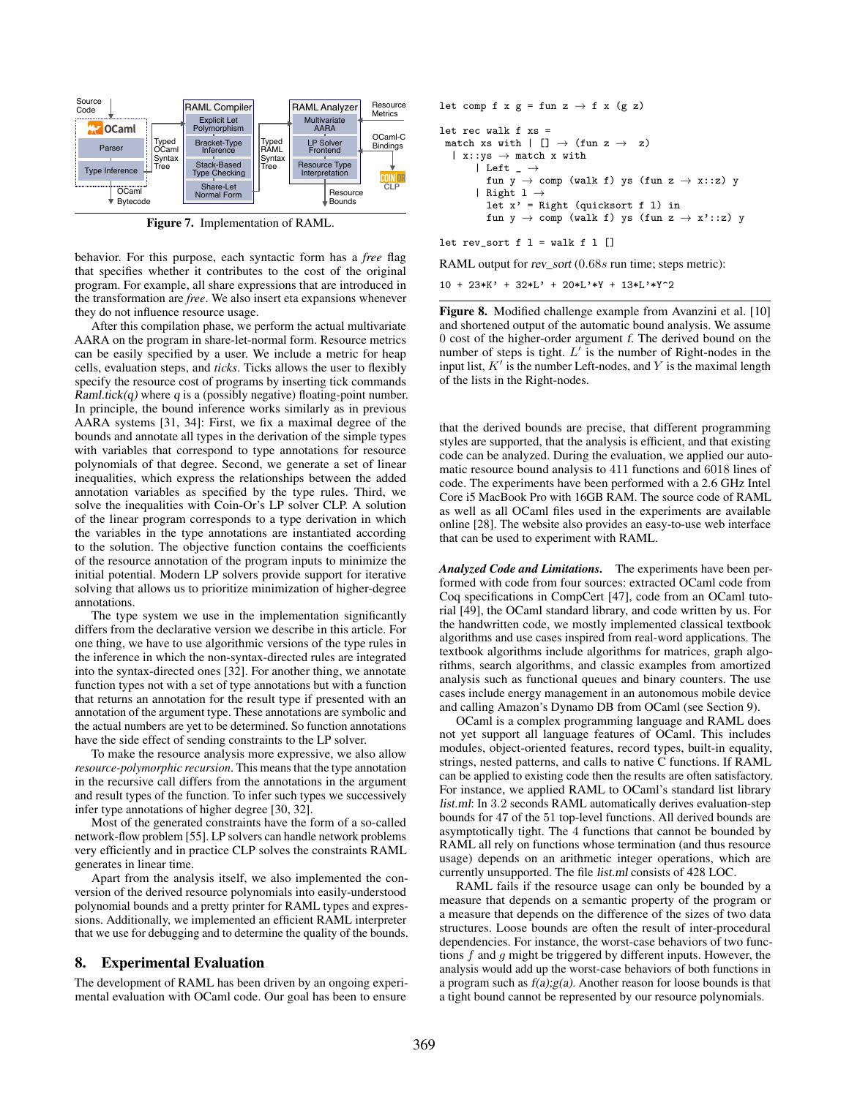

Figure 7. Implementation of RAML.

behavior. For this purpose, each syntactic form has a *free* flag that specifies whether it contributes to the cost of the original program. For example, all share expressions that are introduced in the transformation are *free*. We also insert eta expansions whenever they do not influence resource usage.

After this compilation phase, we perform the actual multivariate AARA on the program in share-let-normal form. Resource metrics can be easily specified by a user. We include a metric for heap cells, evaluation steps, and *ticks*. Ticks allows the user to flexibly specify the resource cost of programs by inserting tick commands Raml.tick(q) where q is a (possibly negative) floating-point number. In principle, the bound inference works similarly as in previous AARA systems [31, 34]: First, we fix a maximal degree of the bounds and annotate all types in the derivation of the simple types with variables that correspond to type annotations for resource polynomials of that degree. Second, we generate a set of linear inequalities, which express the relationships between the added annotation variables as specified by the type rules. Third, we solve the inequalities with Coin-Or's LP solver CLP. A solution of the linear program corresponds to a type derivation in which the variables in the type annotations are instantiated according to the solution. The objective function contains the coefficients of the resource annotation of the program inputs to minimize the initial potential. Modern LP solvers provide support for iterative solving that allows us to prioritize minimization of higher-degree annotations.

The type system we use in the implementation significantly differs from the declarative version we describe in this article. For one thing, we have to use algorithmic versions of the type rules in the inference in which the non-syntax-directed rules are integrated into the syntax-directed ones [32]. For another thing, we annotate function types not with a set of type annotations but with a function that returns an annotation for the result type if presented with an annotation of the argument type. These annotations are symbolic and the actual numbers are yet to be determined. So function annotations have the side effect of sending constraints to the LP solver.

To make the resource analysis more expressive, we also allow *resource-polymorphic recursion*. This means that the type annotation in the recursive call differs from the annotations in the argument and result types of the function. To infer such types we successively infer type annotations of higher degree [30, 32].

Most of the generated constraints have the form of a so-called network-flow problem [55]. LP solvers can handle network problems very efficiently and in practice CLP solves the constraints RAML generates in linear time.

Apart from the analysis itself, we also implemented the conversion of the derived resource polynomials into easily-understood polynomial bounds and a pretty printer for RAML types and expressions. Additionally, we implemented an efficient RAML interpreter that we use for debugging and to determine the quality of the bounds.

#### 8. Experimental Evaluation

The development of RAML has been driven by an ongoing experimental evaluation with OCaml code. Our goal has been to ensure

```
let comp f x g = \text{fun } z \to f x (g z)let rec walk f xs =
 match xs with | [] \rightarrow (fun z \rightarrow z)
  \vert x::ys \rightarrow match x with| Left _{-} \rightarrowfun y \rightarrow comp (walk f) ys (fun z \rightarrow x::z) y
        | Right l →
          let x' = Right (quicksort f 1) in
          fun y \rightarrow comp (walk f) ys (fun z \rightarrow x'::z) y
```
let  $rev\_sort f 1 = walk f 1 []$ 

RAML output for rev\_sort (0.68s run time; steps metric):

10 + 23\*K' + 32\*L' + 20\*L'\*Y + 13\*L'\*Y^2

Figure 8. Modified challenge example from Avanzini et al. [10] and shortened output of the automatic bound analysis. We assume 0 cost of the higher-order argument f. The derived bound on the number of steps is tight.  $L'$  is the number of Right-nodes in the input list,  $K'$  is the number Left-nodes, and Y is the maximal length of the lists in the Right-nodes.

that the derived bounds are precise, that different programming styles are supported, that the analysis is efficient, and that existing code can be analyzed. During the evaluation, we applied our automatic resource bound analysis to 411 functions and 6018 lines of code. The experiments have been performed with a 2.6 GHz Intel Core i5 MacBook Pro with 16GB RAM. The source code of RAML as well as all OCaml files used in the experiments are available online [28]. The website also provides an easy-to-use web interface that can be used to experiment with RAML.

*Analyzed Code and Limitations.* The experiments have been performed with code from four sources: extracted OCaml code from Coq specifications in CompCert [47], code from an OCaml tutorial [49], the OCaml standard library, and code written by us. For the handwritten code, we mostly implemented classical textbook algorithms and use cases inspired from real-word applications. The textbook algorithms include algorithms for matrices, graph algorithms, search algorithms, and classic examples from amortized analysis such as functional queues and binary counters. The use cases include energy management in an autonomous mobile device and calling Amazon's Dynamo DB from OCaml (see Section 9).

OCaml is a complex programming language and RAML does not yet support all language features of OCaml. This includes modules, object-oriented features, record types, built-in equality, strings, nested patterns, and calls to native C functions. If RAML can be applied to existing code then the results are often satisfactory. For instance, we applied RAML to OCaml's standard list library list.ml: In 3.2 seconds RAML automatically derives evaluation-step bounds for 47 of the 51 top-level functions. All derived bounds are asymptotically tight. The 4 functions that cannot be bounded by RAML all rely on functions whose termination (and thus resource usage) depends on an arithmetic integer operations, which are currently unsupported. The file list.ml consists of 428 LOC.

RAML fails if the resource usage can only be bounded by a measure that depends on a semantic property of the program or a measure that depends on the difference of the sizes of two data structures. Loose bounds are often the result of inter-procedural dependencies. For instance, the worst-case behaviors of two functions  $f$  and  $g$  might be triggered by different inputs. However, the analysis would add up the worst-case behaviors of both functions in a program such as  $f(a);g(a)$ . Another reason for loose bounds is that a tight bound cannot be represented by our resource polynomials.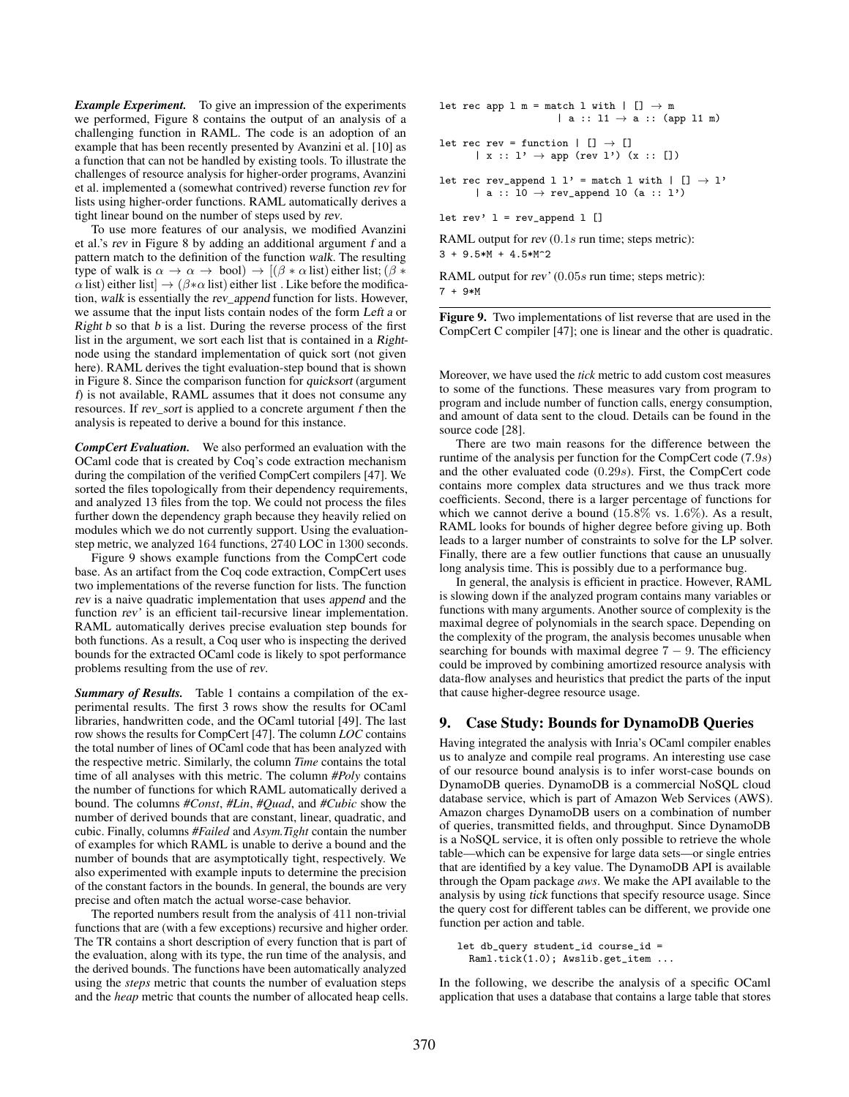*Example Experiment.* To give an impression of the experiments we performed, Figure 8 contains the output of an analysis of a challenging function in RAML. The code is an adoption of an example that has been recently presented by Avanzini et al. [10] as a function that can not be handled by existing tools. To illustrate the challenges of resource analysis for higher-order programs, Avanzini et al. implemented a (somewhat contrived) reverse function rev for lists using higher-order functions. RAML automatically derives a tight linear bound on the number of steps used by rev.

To use more features of our analysis, we modified Avanzini et al.'s rev in Figure 8 by adding an additional argument f and a pattern match to the definition of the function walk. The resulting type of walk is  $\alpha \to \alpha \to \text{bool}$ )  $\to$   $[(\beta * \alpha \text{ list}) \text{ either list}; (\beta *$  $\alpha$  list) either list]  $\rightarrow (\beta * \alpha)$  list) either list. Like before the modification, walk is essentially the rev\_append function for lists. However, we assume that the input lists contain nodes of the form Left a or Right  $b$  so that  $b$  is a list. During the reverse process of the first list in the argument, we sort each list that is contained in a Rightnode using the standard implementation of quick sort (not given here). RAML derives the tight evaluation-step bound that is shown in Figure 8. Since the comparison function for quicksort (argument f) is not available, RAML assumes that it does not consume any resources. If rev\_sort is applied to a concrete argument f then the analysis is repeated to derive a bound for this instance.

*CompCert Evaluation.* We also performed an evaluation with the OCaml code that is created by Coq's code extraction mechanism during the compilation of the verified CompCert compilers [47]. We sorted the files topologically from their dependency requirements, and analyzed 13 files from the top. We could not process the files further down the dependency graph because they heavily relied on modules which we do not currently support. Using the evaluationstep metric, we analyzed 164 functions, 2740 LOC in 1300 seconds.

Figure 9 shows example functions from the CompCert code base. As an artifact from the Coq code extraction, CompCert uses two implementations of the reverse function for lists. The function rev is a naive quadratic implementation that uses append and the function rev' is an efficient tail-recursive linear implementation. RAML automatically derives precise evaluation step bounds for both functions. As a result, a Coq user who is inspecting the derived bounds for the extracted OCaml code is likely to spot performance problems resulting from the use of rev.

*Summary of Results.* Table 1 contains a compilation of the experimental results. The first 3 rows show the results for OCaml libraries, handwritten code, and the OCaml tutorial [49]. The last row shows the results for CompCert [47]. The column *LOC* contains the total number of lines of OCaml code that has been analyzed with the respective metric. Similarly, the column *Time* contains the total time of all analyses with this metric. The column *#Poly* contains the number of functions for which RAML automatically derived a bound. The columns *#Const*, *#Lin*, *#Quad*, and *#Cubic* show the number of derived bounds that are constant, linear, quadratic, and cubic. Finally, columns *#Failed* and *Asym.Tight* contain the number of examples for which RAML is unable to derive a bound and the number of bounds that are asymptotically tight, respectively. We also experimented with example inputs to determine the precision of the constant factors in the bounds. In general, the bounds are very precise and often match the actual worse-case behavior.

The reported numbers result from the analysis of 411 non-trivial functions that are (with a few exceptions) recursive and higher order. The TR contains a short description of every function that is part of the evaluation, along with its type, the run time of the analysis, and the derived bounds. The functions have been automatically analyzed using the *steps* metric that counts the number of evaluation steps and the *heap* metric that counts the number of allocated heap cells.

```
let rec app l m = match l with | [] \rightarrow m| a :: 11 \rightarrow a :: (app 11 m)
```

```
let rec rev = function | [] \rightarrow []| x : : 1' \rightarrow app (rev 1') (x :: [])
```

```
let rec rev_append l l' = match l with | [] \rightarrow l'
        | a :: 10 \rightarrow \text{rev\_append} 10 (a :: 1')
```
let  $rev'$  l =  $rev\_append$  l []

RAML output for rev (0.1s run time; steps metric):  $3 + 9.5*M + 4.5*M^2$ 

RAML output for rev'  $(0.05s$  run time; steps metric): 7 + 9\*M

Figure 9. Two implementations of list reverse that are used in the CompCert C compiler [47]; one is linear and the other is quadratic.

Moreover, we have used the *tick* metric to add custom cost measures to some of the functions. These measures vary from program to program and include number of function calls, energy consumption, and amount of data sent to the cloud. Details can be found in the source code [28].

There are two main reasons for the difference between the runtime of the analysis per function for the CompCert code (7.9s) and the other evaluated code (0.29s). First, the CompCert code contains more complex data structures and we thus track more coefficients. Second, there is a larger percentage of functions for which we cannot derive a bound (15.8% vs. 1.6%). As a result, RAML looks for bounds of higher degree before giving up. Both leads to a larger number of constraints to solve for the LP solver. Finally, there are a few outlier functions that cause an unusually long analysis time. This is possibly due to a performance bug.

In general, the analysis is efficient in practice. However, RAML is slowing down if the analyzed program contains many variables or functions with many arguments. Another source of complexity is the maximal degree of polynomials in the search space. Depending on the complexity of the program, the analysis becomes unusable when searching for bounds with maximal degree  $7 - 9$ . The efficiency could be improved by combining amortized resource analysis with data-flow analyses and heuristics that predict the parts of the input that cause higher-degree resource usage.

## 9. Case Study: Bounds for DynamoDB Queries

Having integrated the analysis with Inria's OCaml compiler enables us to analyze and compile real programs. An interesting use case of our resource bound analysis is to infer worst-case bounds on DynamoDB queries. DynamoDB is a commercial NoSQL cloud database service, which is part of Amazon Web Services (AWS). Amazon charges DynamoDB users on a combination of number of queries, transmitted fields, and throughput. Since DynamoDB is a NoSQL service, it is often only possible to retrieve the whole table—which can be expensive for large data sets—or single entries that are identified by a key value. The DynamoDB API is available through the Opam package *aws*. We make the API available to the analysis by using tick functions that specify resource usage. Since the query cost for different tables can be different, we provide one function per action and table.

```
let db_query student_id course_id =
 Raml.tick(1.0); Awslib.get_item ...
```
In the following, we describe the analysis of a specific OCaml application that uses a database that contains a large table that stores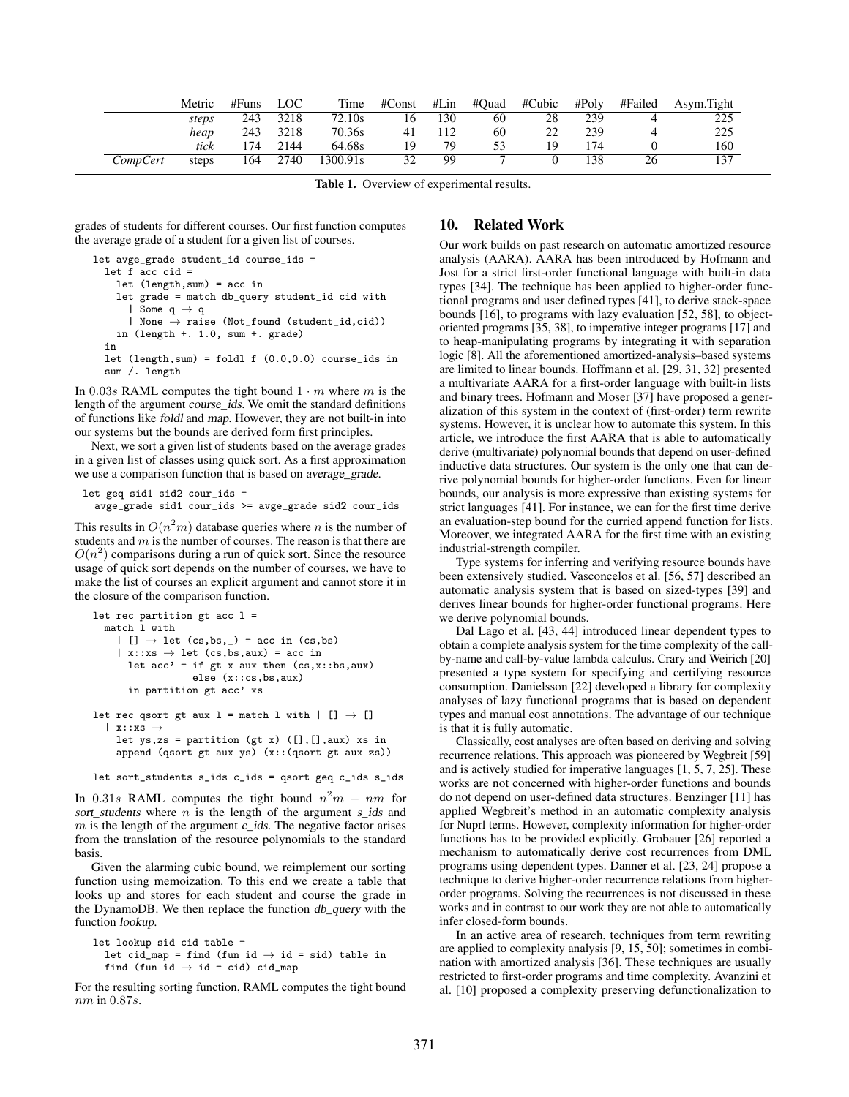|  |          | Metric | #Funs | LOC      | Time     | #Const |     |    | #Lin #Quad #Cubic | #Poly |    | #Failed Asym.Tight |
|--|----------|--------|-------|----------|----------|--------|-----|----|-------------------|-------|----|--------------------|
|  |          | steps  |       | 243 3218 | 72.10s   | 16     | 130 | 60 | -28               | 239   |    | 225                |
|  |          | heap   |       | 243 3218 | 70.36s   | 41     | 112 | 60 | 22                | 239   |    | 225                |
|  |          | tick   | 174   | 2144     | 64.68s   | 19     | 79  | 53 | 19                | 174   |    | 160                |
|  | CompCert | steps  | 164   | 2740     | 1300.91s | 32     | 99  |    |                   | 138   | 26 | 137                |

Table 1. Overview of experimental results.

grades of students for different courses. Our first function computes the average grade of a student for a given list of courses.

```
let avge_grade student_id course_ids =
 let f acc cid =
    let (length,sum) = acc in
    let grade = match db_query student_id cid with
      | Some q \rightarrow q| None \rightarrow raise (Not_found (student_id,cid))
    in (length +. 1.0, sum +. grade)
 in
  let (length,sum) = foldl f (0.0,0.0) course_ids in
  sum /. length
```
In 0.03s RAML computes the tight bound  $1 \cdot m$  where m is the length of the argument course\_ids. We omit the standard definitions of functions like foldl and map. However, they are not built-in into our systems but the bounds are derived form first principles.

Next, we sort a given list of students based on the average grades in a given list of classes using quick sort. As a first approximation we use a comparison function that is based on average\_grade.

let geq sid1 sid2  $cour$  ids = avge\_grade sid1 cour\_ids >= avge\_grade sid2 cour\_ids

This results in  $O(n^2m)$  database queries where n is the number of students and  $m$  is the number of courses. The reason is that there are  $O(n^2)$  comparisons during a run of quick sort. Since the resource usage of quick sort depends on the number of courses, we have to make the list of courses an explicit argument and cannot store it in the closure of the comparison function.

```
let rec partition gt acc l =match l with
    | | \rightarrow let (cs,bs, |) = acc in (cs,bs)
    | x:ixs \rightarrow let (cs,bs,aux) = acc inlet acc' = if gt x aux then (cs, x::bs, aux)else (x::cs,bs,aux)
      in partition gt acc' xs
let rec qsort gt aux l = match l with | | \rightarrow |]
```
 $|\hspace{.1cm} x \colon : x s \hspace{.1cm} \rightarrow$ let  $ys, zs = partition (gt x) ([], []$ , aux) xs in append (qsort gt aux ys) (x::(qsort gt aux zs))

let sort\_students s\_ids c\_ids = qsort geq c\_ids s\_ids

In 0.31s RAML computes the tight bound  $n^2m - nm$  for sort\_students where  $n$  is the length of the argument  $s$ \_ids and m is the length of the argument  $c$  *ids*. The negative factor arises from the translation of the resource polynomials to the standard basis.

Given the alarming cubic bound, we reimplement our sorting function using memoization. To this end we create a table that looks up and stores for each student and course the grade in the DynamoDB. We then replace the function db\_query with the function lookup.

```
let lookup sid cid table =
  let cid_map = find (fun id \rightarrow id = sid) table in
  find (fun id \rightarrow id = cid) cid_map
```
For the resulting sorting function, RAML computes the tight bound nm in 0.87s.

## 10. Related Work

Our work builds on past research on automatic amortized resource analysis (AARA). AARA has been introduced by Hofmann and Jost for a strict first-order functional language with built-in data types [34]. The technique has been applied to higher-order functional programs and user defined types [41], to derive stack-space bounds [16], to programs with lazy evaluation [52, 58], to objectoriented programs [35, 38], to imperative integer programs [17] and to heap-manipulating programs by integrating it with separation logic [8]. All the aforementioned amortized-analysis–based systems are limited to linear bounds. Hoffmann et al. [29, 31, 32] presented a multivariate AARA for a first-order language with built-in lists and binary trees. Hofmann and Moser [37] have proposed a generalization of this system in the context of (first-order) term rewrite systems. However, it is unclear how to automate this system. In this article, we introduce the first AARA that is able to automatically derive (multivariate) polynomial bounds that depend on user-defined inductive data structures. Our system is the only one that can derive polynomial bounds for higher-order functions. Even for linear bounds, our analysis is more expressive than existing systems for strict languages [41]. For instance, we can for the first time derive an evaluation-step bound for the curried append function for lists. Moreover, we integrated AARA for the first time with an existing industrial-strength compiler.

Type systems for inferring and verifying resource bounds have been extensively studied. Vasconcelos et al. [56, 57] described an automatic analysis system that is based on sized-types [39] and derives linear bounds for higher-order functional programs. Here we derive polynomial bounds.

Dal Lago et al. [43, 44] introduced linear dependent types to obtain a complete analysis system for the time complexity of the callby-name and call-by-value lambda calculus. Crary and Weirich [20] presented a type system for specifying and certifying resource consumption. Danielsson [22] developed a library for complexity analyses of lazy functional programs that is based on dependent types and manual cost annotations. The advantage of our technique is that it is fully automatic.

Classically, cost analyses are often based on deriving and solving recurrence relations. This approach was pioneered by Wegbreit [59] and is actively studied for imperative languages [1, 5, 7, 25]. These works are not concerned with higher-order functions and bounds do not depend on user-defined data structures. Benzinger [11] has applied Wegbreit's method in an automatic complexity analysis for Nuprl terms. However, complexity information for higher-order functions has to be provided explicitly. Grobauer [26] reported a mechanism to automatically derive cost recurrences from DML programs using dependent types. Danner et al. [23, 24] propose a technique to derive higher-order recurrence relations from higherorder programs. Solving the recurrences is not discussed in these works and in contrast to our work they are not able to automatically infer closed-form bounds.

In an active area of research, techniques from term rewriting are applied to complexity analysis [9, 15, 50]; sometimes in combination with amortized analysis [36]. These techniques are usually restricted to first-order programs and time complexity. Avanzini et al. [10] proposed a complexity preserving defunctionalization to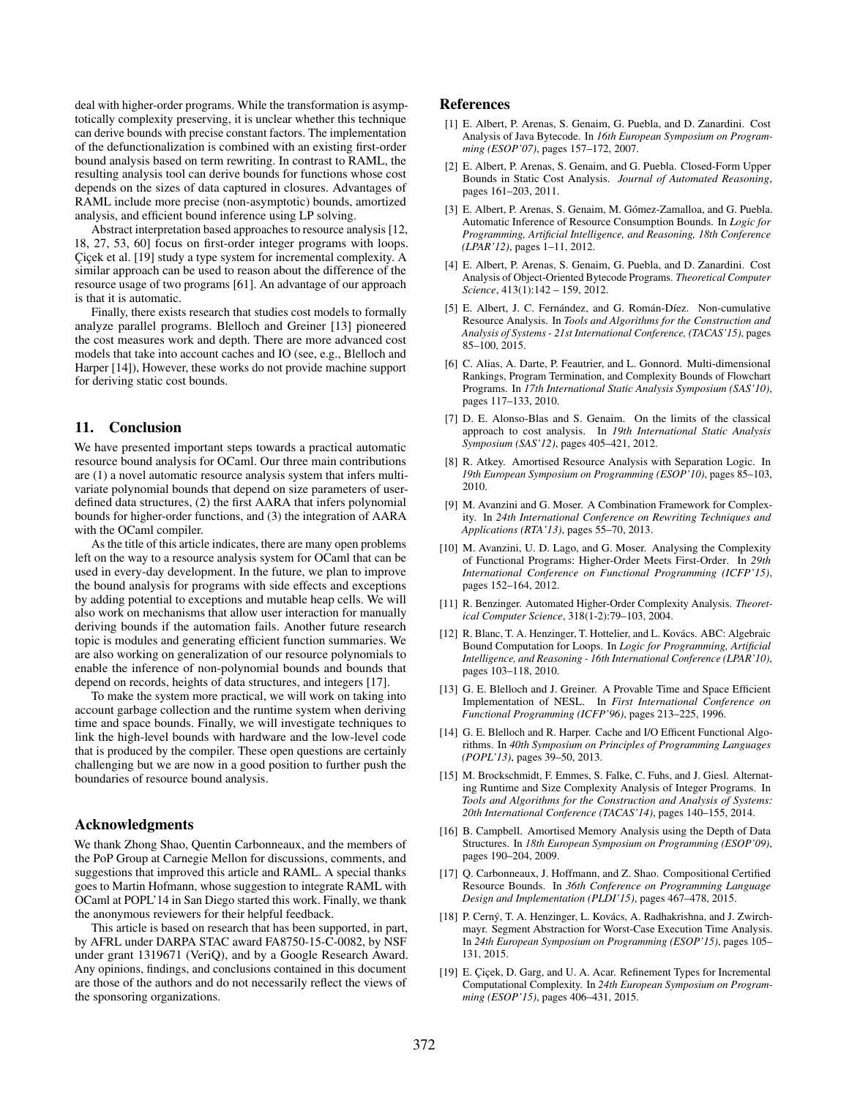deal with higher-order programs. While the transformation is asymptotically complexity preserving, it is unclear whether this technique can derive bounds with precise constant factors. The implementation of the defunctionalization is combined with an existing first-order bound analysis based on term rewriting. In contrast to RAML, the resulting analysis tool can derive bounds for functions whose cost depends on the sizes of data captured in closures. Advantages of RAML include more precise (non-asymptotic) bounds, amortized analysis, and efficient bound inference using LP solving.

Abstract interpretation based approaches to resource analysis [12, 18, 27, 53, 60] focus on first-order integer programs with loops. Çiçek et al. [19] study a type system for incremental complexity. A similar approach can be used to reason about the difference of the resource usage of two programs [61]. An advantage of our approach is that it is automatic.

Finally, there exists research that studies cost models to formally analyze parallel programs. Blelloch and Greiner [13] pioneered the cost measures work and depth. There are more advanced cost models that take into account caches and IO (see, e.g., Blelloch and Harper [14]), However, these works do not provide machine support for deriving static cost bounds.

#### 11. Conclusion

We have presented important steps towards a practical automatic resource bound analysis for OCaml. Our three main contributions are (1) a novel automatic resource analysis system that infers multivariate polynomial bounds that depend on size parameters of userdefined data structures, (2) the first AARA that infers polynomial bounds for higher-order functions, and (3) the integration of AARA with the OCaml compiler.

As the title of this article indicates, there are many open problems left on the way to a resource analysis system for OCaml that can be used in every-day development. In the future, we plan to improve the bound analysis for programs with side effects and exceptions by adding potential to exceptions and mutable heap cells. We will also work on mechanisms that allow user interaction for manually deriving bounds if the automation fails. Another future research topic is modules and generating efficient function summaries. We are also working on generalization of our resource polynomials to enable the inference of non-polynomial bounds and bounds that depend on records, heights of data structures, and integers [17].

To make the system more practical, we will work on taking into account garbage collection and the runtime system when deriving time and space bounds. Finally, we will investigate techniques to link the high-level bounds with hardware and the low-level code that is produced by the compiler. These open questions are certainly challenging but we are now in a good position to further push the boundaries of resource bound analysis.

#### Acknowledgments

We thank Zhong Shao, Quentin Carbonneaux, and the members of the PoP Group at Carnegie Mellon for discussions, comments, and suggestions that improved this article and RAML. A special thanks goes to Martin Hofmann, whose suggestion to integrate RAML with OCaml at POPL'14 in San Diego started this work. Finally, we thank the anonymous reviewers for their helpful feedback.

This article is based on research that has been supported, in part, by AFRL under DARPA STAC award FA8750-15-C-0082, by NSF under grant 1319671 (VeriQ), and by a Google Research Award. Any opinions, findings, and conclusions contained in this document are those of the authors and do not necessarily reflect the views of the sponsoring organizations.

## References

- [1] E. Albert, P. Arenas, S. Genaim, G. Puebla, and D. Zanardini. Cost Analysis of Java Bytecode. In *16th European Symposium on Programming (ESOP'07)*, pages 157–172, 2007.
- [2] E. Albert, P. Arenas, S. Genaim, and G. Puebla. Closed-Form Upper Bounds in Static Cost Analysis. *Journal of Automated Reasoning*, pages 161–203, 2011.
- [3] E. Albert, P. Arenas, S. Genaim, M. Gómez-Zamalloa, and G. Puebla. Automatic Inference of Resource Consumption Bounds. In *Logic for Programming, Artificial Intelligence, and Reasoning, 18th Conference (LPAR'12)*, pages 1–11, 2012.
- [4] E. Albert, P. Arenas, S. Genaim, G. Puebla, and D. Zanardini. Cost Analysis of Object-Oriented Bytecode Programs. *Theoretical Computer Science*, 413(1):142 – 159, 2012.
- [5] E. Albert, J. C. Fernández, and G. Román-Díez. Non-cumulative Resource Analysis. In *Tools and Algorithms for the Construction and Analysis of Systems - 21st International Conference, (TACAS'15)*, pages 85–100, 2015.
- [6] C. Alias, A. Darte, P. Feautrier, and L. Gonnord. Multi-dimensional Rankings, Program Termination, and Complexity Bounds of Flowchart Programs. In *17th International Static Analysis Symposium (SAS'10)*, pages 117–133, 2010.
- [7] D. E. Alonso-Blas and S. Genaim. On the limits of the classical approach to cost analysis. In *19th International Static Analysis Symposium (SAS'12)*, pages 405–421, 2012.
- [8] R. Atkey. Amortised Resource Analysis with Separation Logic. In *19th European Symposium on Programming (ESOP'10)*, pages 85–103, 2010.
- [9] M. Avanzini and G. Moser. A Combination Framework for Complexity. In *24th International Conference on Rewriting Techniques and Applications (RTA'13)*, pages 55–70, 2013.
- [10] M. Avanzini, U. D. Lago, and G. Moser. Analysing the Complexity of Functional Programs: Higher-Order Meets First-Order. In *29th International Conference on Functional Programming (ICFP'15)*, pages 152–164, 2012.
- [11] R. Benzinger. Automated Higher-Order Complexity Analysis. *Theoretical Computer Science*, 318(1-2):79–103, 2004.
- [12] R. Blanc, T. A. Henzinger, T. Hottelier, and L. Kovács. ABC: Algebraic Bound Computation for Loops. In *Logic for Programming, Artificial Intelligence, and Reasoning - 16th International Conference (LPAR'10)*, pages 103–118, 2010.
- [13] G. E. Blelloch and J. Greiner. A Provable Time and Space Efficient Implementation of NESL. In *First International Conference on Functional Programming (ICFP'96)*, pages 213–225, 1996.
- [14] G. E. Blelloch and R. Harper. Cache and I/O Efficent Functional Algorithms. In *40th Symposium on Principles of Programming Languages (POPL'13)*, pages 39–50, 2013.
- [15] M. Brockschmidt, F. Emmes, S. Falke, C. Fuhs, and J. Giesl. Alternating Runtime and Size Complexity Analysis of Integer Programs. In *Tools and Algorithms for the Construction and Analysis of Systems: 20th International Conference (TACAS'14)*, pages 140–155, 2014.
- [16] B. Campbell. Amortised Memory Analysis using the Depth of Data Structures. In *18th European Symposium on Programming (ESOP'09)*, pages 190–204, 2009.
- [17] Q. Carbonneaux, J. Hoffmann, and Z. Shao. Compositional Certified Resource Bounds. In *36th Conference on Programming Language Design and Implementation (PLDI'15)*, pages 467–478, 2015.
- [18] P. Cerný, T. A. Henzinger, L. Kovács, A. Radhakrishna, and J. Zwirchmayr. Segment Abstraction for Worst-Case Execution Time Analysis. In *24th European Symposium on Programming (ESOP'15)*, pages 105– 131, 2015.
- [19] E. Çiçek, D. Garg, and U. A. Acar. Refinement Types for Incremental Computational Complexity. In *24th European Symposium on Programming (ESOP'15)*, pages 406–431, 2015.